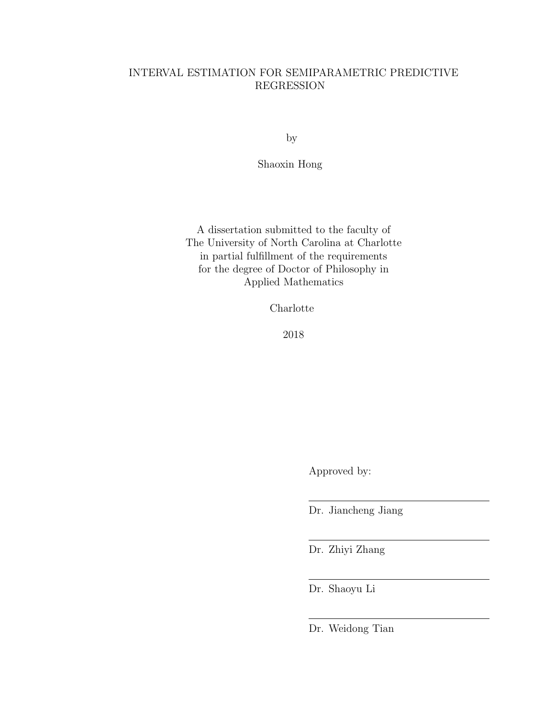# INTERVAL ESTIMATION FOR SEMIPARAMETRIC PREDICTIVE REGRESSION

by

Shaoxin Hong

A dissertation submitted to the faculty of The University of North Carolina at Charlotte in partial fulfillment of the requirements for the degree of Doctor of Philosophy in Applied Mathematics

Charlotte

2018

Approved by:

Dr. Jiancheng Jiang

Dr. Zhiyi Zhang

Dr. Shaoyu Li

Dr. Weidong Tian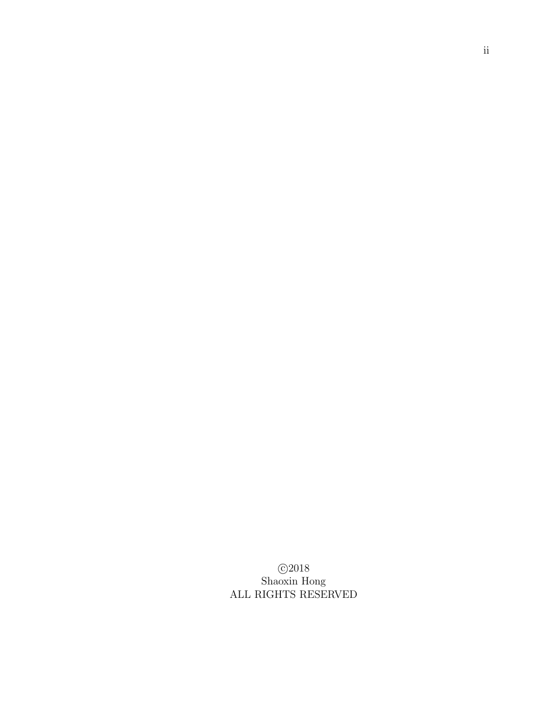c 2018 Shaoxin Hong ALL RIGHTS RESERVED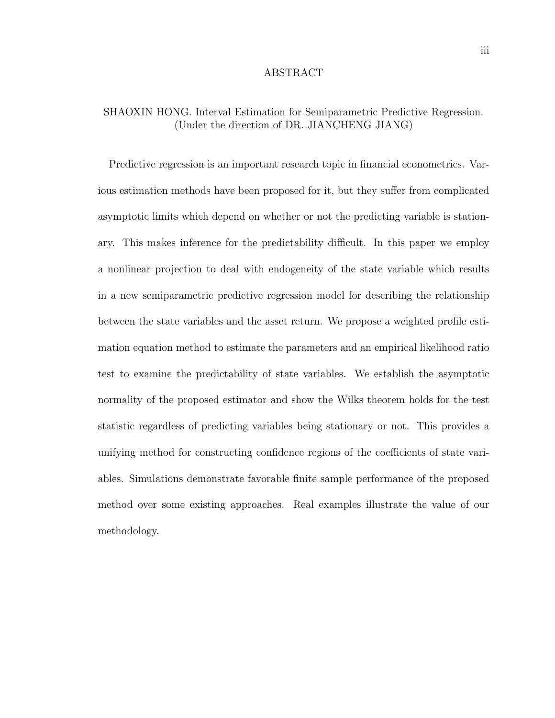#### ABSTRACT

# SHAOXIN HONG. Interval Estimation for Semiparametric Predictive Regression. (Under the direction of DR. JIANCHENG JIANG)

Predictive regression is an important research topic in financial econometrics. Various estimation methods have been proposed for it, but they suffer from complicated asymptotic limits which depend on whether or not the predicting variable is stationary. This makes inference for the predictability difficult. In this paper we employ a nonlinear projection to deal with endogeneity of the state variable which results in a new semiparametric predictive regression model for describing the relationship between the state variables and the asset return. We propose a weighted profile estimation equation method to estimate the parameters and an empirical likelihood ratio test to examine the predictability of state variables. We establish the asymptotic normality of the proposed estimator and show the Wilks theorem holds for the test statistic regardless of predicting variables being stationary or not. This provides a unifying method for constructing confidence regions of the coefficients of state variables. Simulations demonstrate favorable finite sample performance of the proposed method over some existing approaches. Real examples illustrate the value of our methodology.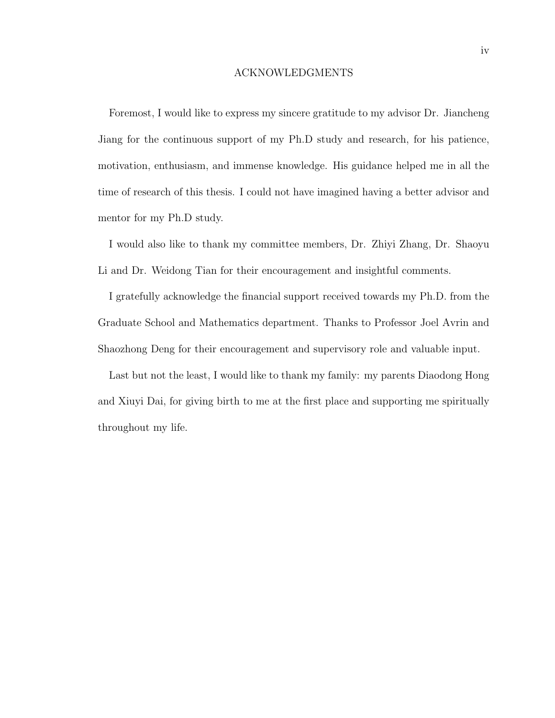### ACKNOWLEDGMENTS

Foremost, I would like to express my sincere gratitude to my advisor Dr. Jiancheng Jiang for the continuous support of my Ph.D study and research, for his patience, motivation, enthusiasm, and immense knowledge. His guidance helped me in all the time of research of this thesis. I could not have imagined having a better advisor and mentor for my Ph.D study.

I would also like to thank my committee members, Dr. Zhiyi Zhang, Dr. Shaoyu Li and Dr. Weidong Tian for their encouragement and insightful comments.

I gratefully acknowledge the financial support received towards my Ph.D. from the Graduate School and Mathematics department. Thanks to Professor Joel Avrin and Shaozhong Deng for their encouragement and supervisory role and valuable input.

Last but not the least, I would like to thank my family: my parents Diaodong Hong and Xiuyi Dai, for giving birth to me at the first place and supporting me spiritually throughout my life.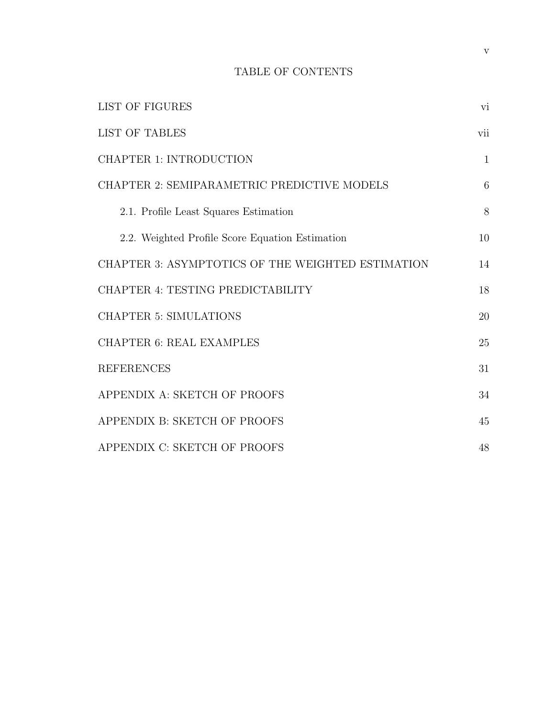# TABLE OF CONTENTS

| LIST OF FIGURES                                   | vi           |
|---------------------------------------------------|--------------|
| <b>LIST OF TABLES</b>                             | vii          |
| <b>CHAPTER 1: INTRODUCTION</b>                    | $\mathbf{1}$ |
| CHAPTER 2: SEMIPARAMETRIC PREDICTIVE MODELS       | 6            |
| 2.1. Profile Least Squares Estimation             | 8            |
| 2.2. Weighted Profile Score Equation Estimation   | 10           |
| CHAPTER 3: ASYMPTOTICS OF THE WEIGHTED ESTIMATION | 14           |
| CHAPTER 4: TESTING PREDICTABILITY                 | 18           |
| <b>CHAPTER 5: SIMULATIONS</b>                     | 20           |
| <b>CHAPTER 6: REAL EXAMPLES</b>                   | 25           |
| <b>REFERENCES</b>                                 | 31           |
| APPENDIX A: SKETCH OF PROOFS                      | 34           |
| APPENDIX B: SKETCH OF PROOFS                      | 45           |
| APPENDIX C: SKETCH OF PROOFS                      | 48           |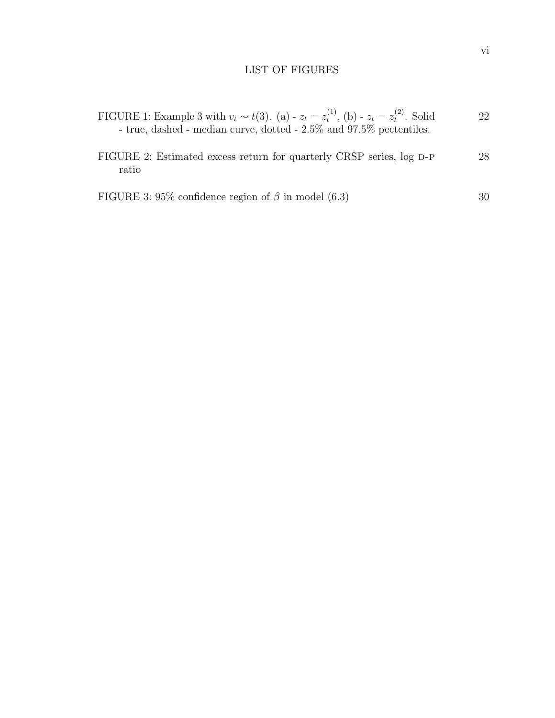# LIST OF FIGURES

| FIGURE 1: Example 3 with $v_t \sim t(3)$ . (a) - $z_t = z_t^{(1)}$ , (b) - $z_t = z_t^{(2)}$ . Solid | 22 |
|------------------------------------------------------------------------------------------------------|----|
| - true, dashed - median curve, dotted $-2.5\%$ and 97.5\% pectentiles.                               |    |

| FIGURE 2: Estimated excess return for quarterly CRSP series, log D-P |  |  |  |  | 28 |
|----------------------------------------------------------------------|--|--|--|--|----|
| ratio                                                                |  |  |  |  |    |

FIGURE 3: 95% confidence region of 
$$
\beta
$$
 in model (6.3)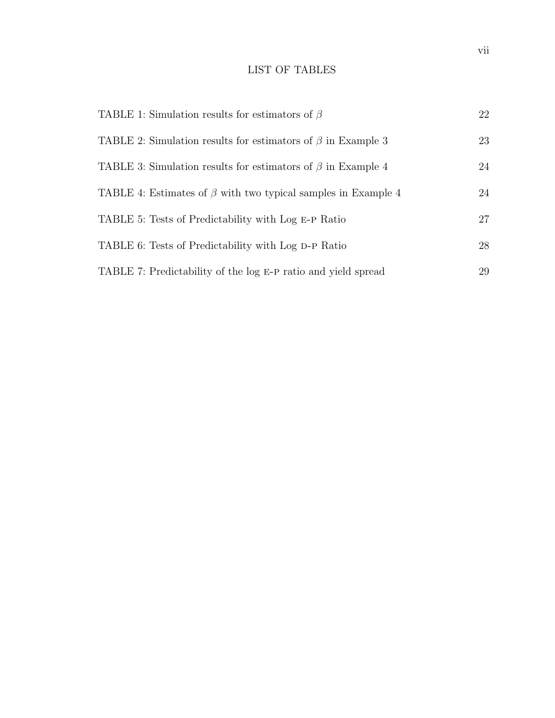# LIST OF TABLES

| TABLE 1: Simulation results for estimators of $\beta$               | 22 |
|---------------------------------------------------------------------|----|
| TABLE 2: Simulation results for estimators of $\beta$ in Example 3  | 23 |
| TABLE 3: Simulation results for estimators of $\beta$ in Example 4  | 24 |
| TABLE 4: Estimates of $\beta$ with two typical samples in Example 4 | 24 |
| TABLE 5: Tests of Predictability with Log E-P Ratio                 | 27 |
| TABLE 6: Tests of Predictability with Log D-P Ratio                 | 28 |
| TABLE 7: Predictability of the log E-P ratio and yield spread       | 29 |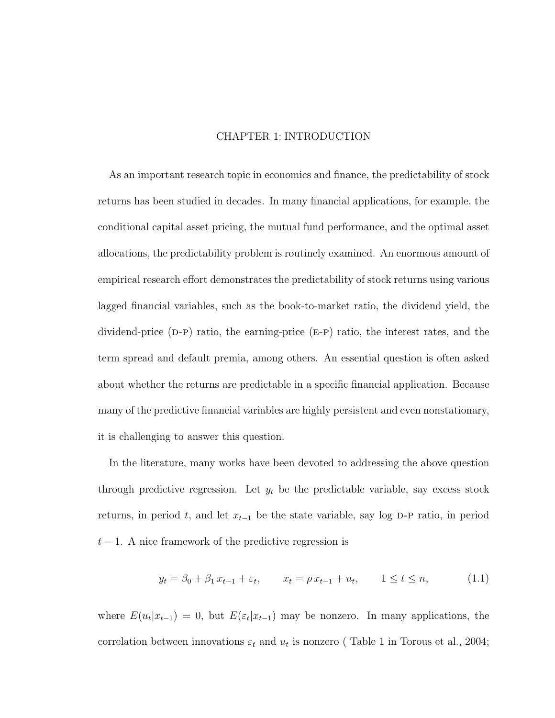## CHAPTER 1: INTRODUCTION

As an important research topic in economics and finance, the predictability of stock returns has been studied in decades. In many financial applications, for example, the conditional capital asset pricing, the mutual fund performance, and the optimal asset allocations, the predictability problem is routinely examined. An enormous amount of empirical research effort demonstrates the predictability of stock returns using various lagged financial variables, such as the book-to-market ratio, the dividend yield, the dividend-price  $(D-P)$  ratio, the earning-price  $(E-P)$  ratio, the interest rates, and the term spread and default premia, among others. An essential question is often asked about whether the returns are predictable in a specific financial application. Because many of the predictive financial variables are highly persistent and even nonstationary, it is challenging to answer this question.

In the literature, many works have been devoted to addressing the above question through predictive regression. Let  $y_t$  be the predictable variable, say excess stock returns, in period t, and let  $x_{t-1}$  be the state variable, say log D-P ratio, in period  $t-1$ . A nice framework of the predictive regression is

$$
y_t = \beta_0 + \beta_1 x_{t-1} + \varepsilon_t, \qquad x_t = \rho x_{t-1} + u_t, \qquad 1 \le t \le n,
$$
 (1.1)

where  $E(u_t|x_{t-1}) = 0$ , but  $E(\varepsilon_t|x_{t-1})$  may be nonzero. In many applications, the correlation between innovations  $\varepsilon_t$  and  $u_t$  is nonzero (Table 1 in Torous et al., 2004;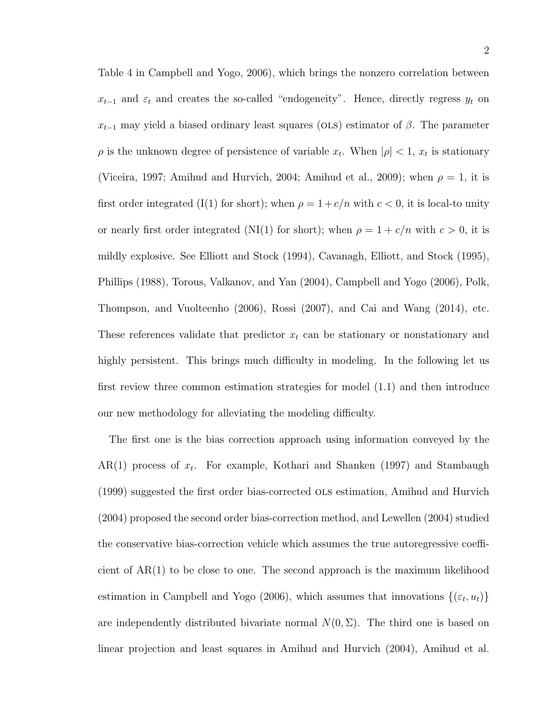Table 4 in Campbell and Yogo, 2006), which brings the nonzero correlation between  $x_{t-1}$  and  $\varepsilon_t$  and creates the so-called "endogeneity". Hence, directly regress  $y_t$  on  $x_{t-1}$  may yield a biased ordinary least squares (OLS) estimator of  $\beta$ . The parameter  $\rho$  is the unknown degree of persistence of variable  $x_t$ . When  $|\rho| < 1$ ,  $x_t$  is stationary (Viceira, 1997; Amihud and Hurvich, 2004; Amihud et al., 2009); when  $\rho = 1$ , it is first order integrated (I(1) for short); when  $\rho = 1 + c/n$  with  $c < 0$ , it is local-to unity or nearly first order integrated (NI(1) for short); when  $\rho = 1 + c/n$  with  $c > 0$ , it is mildly explosive. See Elliott and Stock (1994), Cavanagh, Elliott, and Stock (1995), Phillips (1988), Torous, Valkanov, and Yan (2004), Campbell and Yogo (2006), Polk, Thompson, and Vuolteenho (2006), Rossi (2007), and Cai and Wang (2014), etc. These references validate that predictor  $x_t$  can be stationary or nonstationary and highly persistent. This brings much difficulty in modeling. In the following let us first review three common estimation strategies for model (1.1) and then introduce our new methodology for alleviating the modeling difficulty.

The first one is the bias correction approach using information conveyed by the  $AR(1)$  process of  $x_t$ . For example, Kothari and Shanken (1997) and Stambaugh (1999) suggested the first order bias-corrected ols estimation, Amihud and Hurvich (2004) proposed the second order bias-correction method, and Lewellen (2004) studied the conservative bias-correction vehicle which assumes the true autoregressive coefficient of AR(1) to be close to one. The second approach is the maximum likelihood estimation in Campbell and Yogo (2006), which assumes that innovations  $\{(\varepsilon_t, u_t)\}$ are independently distributed bivariate normal  $N(0, \Sigma)$ . The third one is based on linear projection and least squares in Amihud and Hurvich (2004), Amihud et al.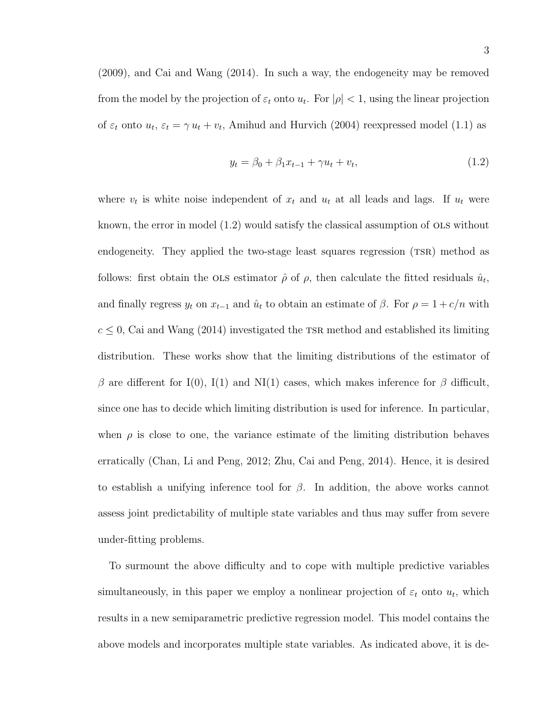(2009), and Cai and Wang (2014). In such a way, the endogeneity may be removed from the model by the projection of  $\varepsilon_t$  onto  $u_t$ . For  $|\rho| < 1$ , using the linear projection of  $\varepsilon_t$  onto  $u_t$ ,  $\varepsilon_t = \gamma u_t + v_t$ , Amihud and Hurvich (2004) reexpressed model (1.1) as

$$
y_t = \beta_0 + \beta_1 x_{t-1} + \gamma u_t + v_t, \tag{1.2}
$$

where  $v_t$  is white noise independent of  $x_t$  and  $u_t$  at all leads and lags. If  $u_t$  were known, the error in model (1.2) would satisfy the classical assumption of ols without endogeneity. They applied the two-stage least squares regression (TSR) method as follows: first obtain the OLS estimator  $\hat{\rho}$  of  $\rho$ , then calculate the fitted residuals  $\hat{u}_t$ , and finally regress  $y_t$  on  $x_{t-1}$  and  $\hat{u}_t$  to obtain an estimate of  $\beta$ . For  $\rho = 1 + c/n$  with  $c \leq 0$ , Cai and Wang (2014) investigated the TSR method and established its limiting distribution. These works show that the limiting distributions of the estimator of β are different for I(0), I(1) and NI(1) cases, which makes inference for β difficult, since one has to decide which limiting distribution is used for inference. In particular, when  $\rho$  is close to one, the variance estimate of the limiting distribution behaves erratically (Chan, Li and Peng, 2012; Zhu, Cai and Peng, 2014). Hence, it is desired to establish a unifying inference tool for  $\beta$ . In addition, the above works cannot assess joint predictability of multiple state variables and thus may suffer from severe under-fitting problems.

To surmount the above difficulty and to cope with multiple predictive variables simultaneously, in this paper we employ a nonlinear projection of  $\varepsilon_t$  onto  $u_t$ , which results in a new semiparametric predictive regression model. This model contains the above models and incorporates multiple state variables. As indicated above, it is de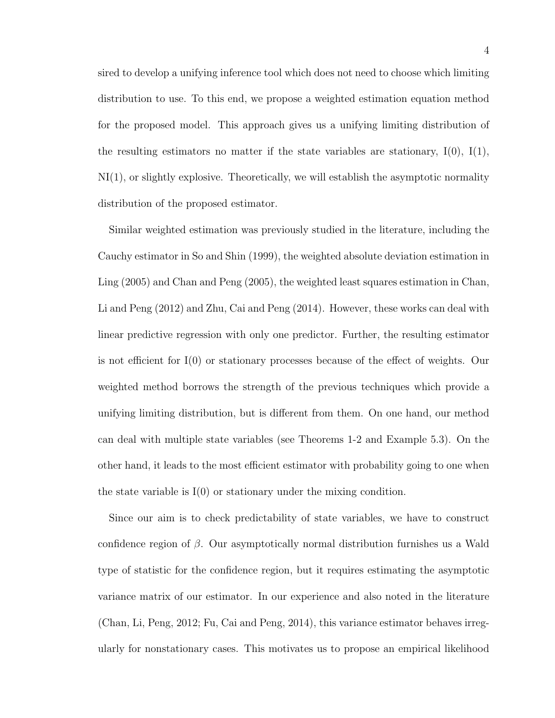sired to develop a unifying inference tool which does not need to choose which limiting distribution to use. To this end, we propose a weighted estimation equation method for the proposed model. This approach gives us a unifying limiting distribution of the resulting estimators no matter if the state variables are stationary,  $I(0)$ ,  $I(1)$ ,  $N(I)$ , or slightly explosive. Theoretically, we will establish the asymptotic normality distribution of the proposed estimator.

Similar weighted estimation was previously studied in the literature, including the Cauchy estimator in So and Shin (1999), the weighted absolute deviation estimation in Ling (2005) and Chan and Peng (2005), the weighted least squares estimation in Chan, Li and Peng (2012) and Zhu, Cai and Peng (2014). However, these works can deal with linear predictive regression with only one predictor. Further, the resulting estimator is not efficient for I(0) or stationary processes because of the effect of weights. Our weighted method borrows the strength of the previous techniques which provide a unifying limiting distribution, but is different from them. On one hand, our method can deal with multiple state variables (see Theorems 1-2 and Example 5.3). On the other hand, it leads to the most efficient estimator with probability going to one when the state variable is I(0) or stationary under the mixing condition.

Since our aim is to check predictability of state variables, we have to construct confidence region of  $\beta$ . Our asymptotically normal distribution furnishes us a Wald type of statistic for the confidence region, but it requires estimating the asymptotic variance matrix of our estimator. In our experience and also noted in the literature (Chan, Li, Peng, 2012; Fu, Cai and Peng, 2014), this variance estimator behaves irregularly for nonstationary cases. This motivates us to propose an empirical likelihood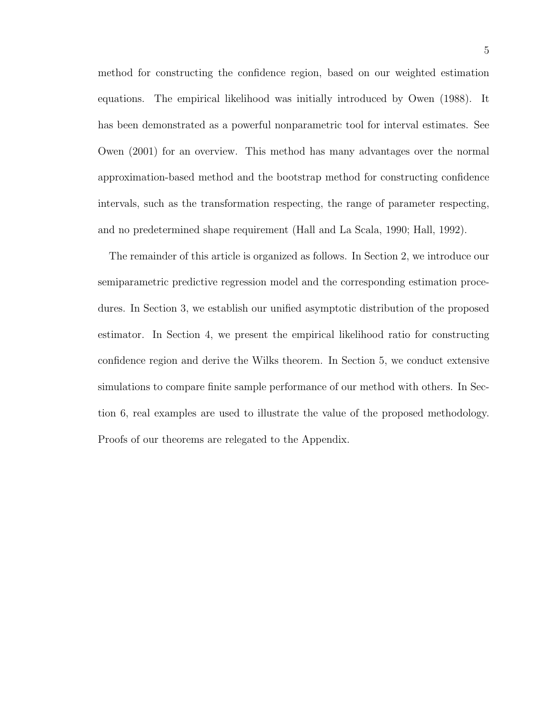method for constructing the confidence region, based on our weighted estimation equations. The empirical likelihood was initially introduced by Owen (1988). It has been demonstrated as a powerful nonparametric tool for interval estimates. See Owen (2001) for an overview. This method has many advantages over the normal approximation-based method and the bootstrap method for constructing confidence intervals, such as the transformation respecting, the range of parameter respecting, and no predetermined shape requirement (Hall and La Scala, 1990; Hall, 1992).

The remainder of this article is organized as follows. In Section 2, we introduce our semiparametric predictive regression model and the corresponding estimation procedures. In Section 3, we establish our unified asymptotic distribution of the proposed estimator. In Section 4, we present the empirical likelihood ratio for constructing confidence region and derive the Wilks theorem. In Section 5, we conduct extensive simulations to compare finite sample performance of our method with others. In Section 6, real examples are used to illustrate the value of the proposed methodology. Proofs of our theorems are relegated to the Appendix.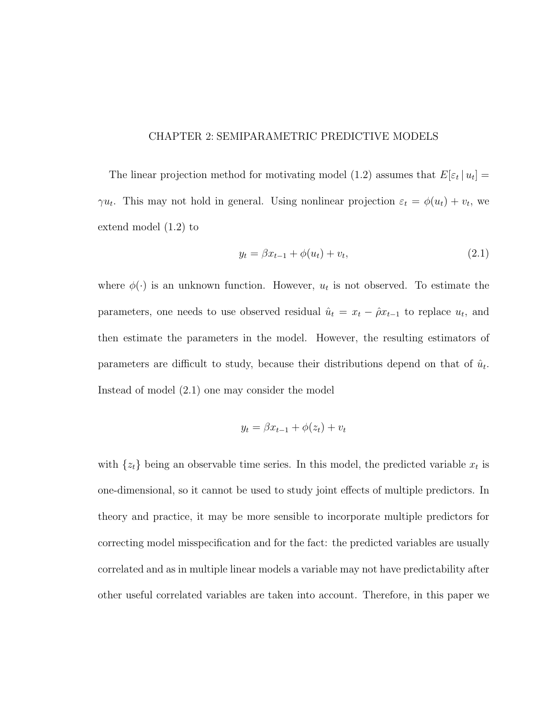## CHAPTER 2: SEMIPARAMETRIC PREDICTIVE MODELS

The linear projection method for motivating model (1.2) assumes that  $E[\varepsilon_t | u_t] =$  $\gamma u_t$ . This may not hold in general. Using nonlinear projection  $\varepsilon_t = \phi(u_t) + v_t$ , we extend model (1.2) to

$$
y_t = \beta x_{t-1} + \phi(u_t) + v_t, \tag{2.1}
$$

where  $\phi(\cdot)$  is an unknown function. However,  $u_t$  is not observed. To estimate the parameters, one needs to use observed residual  $\hat{u}_t = x_t - \hat{\rho} x_{t-1}$  to replace  $u_t$ , and then estimate the parameters in the model. However, the resulting estimators of parameters are difficult to study, because their distributions depend on that of  $\hat{u}_t$ . Instead of model (2.1) one may consider the model

$$
y_t = \beta x_{t-1} + \phi(z_t) + v_t
$$

with  $\{z_t\}$  being an observable time series. In this model, the predicted variable  $x_t$  is one-dimensional, so it cannot be used to study joint effects of multiple predictors. In theory and practice, it may be more sensible to incorporate multiple predictors for correcting model misspecification and for the fact: the predicted variables are usually correlated and as in multiple linear models a variable may not have predictability after other useful correlated variables are taken into account. Therefore, in this paper we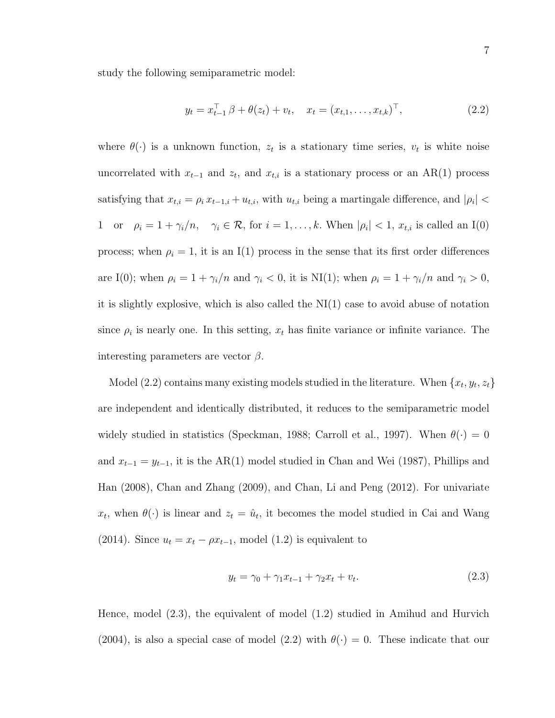study the following semiparametric model:

$$
y_t = x_{t-1}^\top \beta + \theta(z_t) + v_t, \quad x_t = (x_{t,1}, \dots, x_{t,k})^\top,
$$
\n(2.2)

where  $\theta(\cdot)$  is a unknown function,  $z_t$  is a stationary time series,  $v_t$  is white noise uncorrelated with  $x_{t-1}$  and  $z_t$ , and  $x_{t,i}$  is a stationary process or an AR(1) process satisfying that  $x_{t,i} = \rho_i x_{t-1,i} + u_{t,i}$ , with  $u_{t,i}$  being a martingale difference, and  $|\rho_i|$ 1 or  $\rho_i = 1 + \gamma_i/n$ ,  $\gamma_i \in \mathcal{R}$ , for  $i = 1, \ldots, k$ . When  $|\rho_i| < 1$ ,  $x_{t,i}$  is called an I(0) process; when  $\rho_i = 1$ , it is an I(1) process in the sense that its first order differences are I(0); when  $\rho_i = 1 + \gamma_i/n$  and  $\gamma_i < 0$ , it is NI(1); when  $\rho_i = 1 + \gamma_i/n$  and  $\gamma_i > 0$ , it is slightly explosive, which is also called the  $N(1)$  case to avoid abuse of notation since  $\rho_i$  is nearly one. In this setting,  $x_t$  has finite variance or infinite variance. The interesting parameters are vector  $\beta$ .

Model (2.2) contains many existing models studied in the literature. When  $\{x_t, y_t, z_t\}$ are independent and identically distributed, it reduces to the semiparametric model widely studied in statistics (Speckman, 1988; Carroll et al., 1997). When  $\theta(\cdot) = 0$ and  $x_{t-1} = y_{t-1}$ , it is the AR(1) model studied in Chan and Wei (1987), Phillips and Han (2008), Chan and Zhang (2009), and Chan, Li and Peng (2012). For univariate  $x_t$ , when  $\theta(\cdot)$  is linear and  $z_t = \hat{u}_t$ , it becomes the model studied in Cai and Wang (2014). Since  $u_t = x_t - \rho x_{t-1}$ , model (1.2) is equivalent to

$$
y_t = \gamma_0 + \gamma_1 x_{t-1} + \gamma_2 x_t + v_t.
$$
 (2.3)

Hence, model (2.3), the equivalent of model (1.2) studied in Amihud and Hurvich (2004), is also a special case of model (2.2) with  $\theta(\cdot) = 0$ . These indicate that our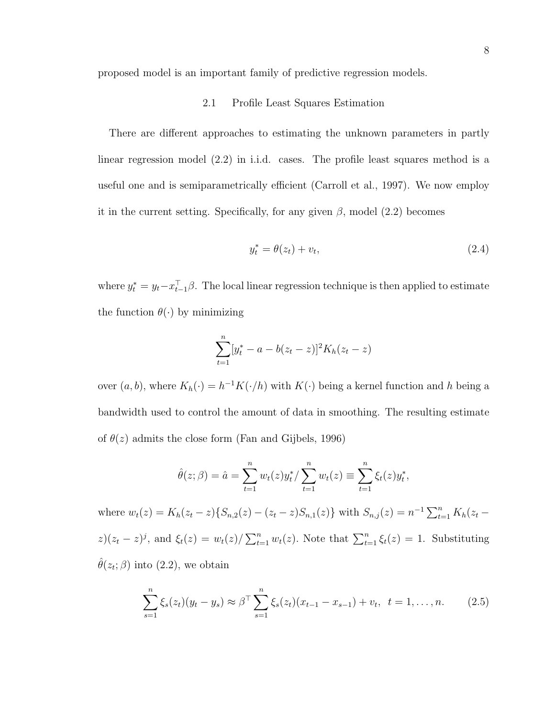proposed model is an important family of predictive regression models.

### 2.1 Profile Least Squares Estimation

There are different approaches to estimating the unknown parameters in partly linear regression model (2.2) in i.i.d. cases. The profile least squares method is a useful one and is semiparametrically efficient (Carroll et al., 1997). We now employ it in the current setting. Specifically, for any given  $\beta$ , model (2.2) becomes

$$
y_t^* = \theta(z_t) + v_t,\tag{2.4}
$$

where  $y_t^* = y_t - x_{t-1}^{\top} \beta$ . The local linear regression technique is then applied to estimate the function  $\theta(\cdot)$  by minimizing

$$
\sum_{t=1}^{n} [y_t^* - a - b(z_t - z)]^2 K_h(z_t - z)
$$

over  $(a, b)$ , where  $K_h(\cdot) = h^{-1}K(\cdot/h)$  with  $K(\cdot)$  being a kernel function and h being a bandwidth used to control the amount of data in smoothing. The resulting estimate of  $\theta(z)$  admits the close form (Fan and Gijbels, 1996)

$$
\hat{\theta}(z;\beta) = \hat{a} = \sum_{t=1}^{n} w_t(z) y_t^* / \sum_{t=1}^{n} w_t(z) \equiv \sum_{t=1}^{n} \xi_t(z) y_t^*,
$$

where  $w_t(z) = K_h(z_t - z) \{ S_{n,2}(z) - (z_t - z) S_{n,1}(z) \}$  with  $S_{n,j}(z) = n^{-1} \sum_{t=1}^n K_h(z_t - z)$  $z(z_t - z)^j$ , and  $\xi_t(z) = w_t(z)/\sum_{t=1}^n w_t(z)$ . Note that  $\sum_{t=1}^n \xi_t(z) = 1$ . Substituting  $\hat{\theta}(z_t; \beta)$  into (2.2), we obtain

$$
\sum_{s=1}^{n} \xi_s(z_t)(y_t - y_s) \approx \beta^{\top} \sum_{s=1}^{n} \xi_s(z_t)(x_{t-1} - x_{s-1}) + v_t, \quad t = 1, \dots, n. \tag{2.5}
$$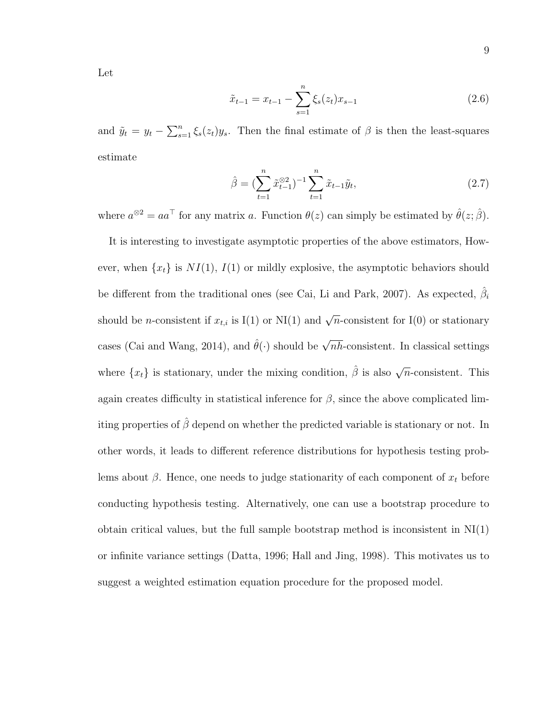Let

$$
\tilde{x}_{t-1} = x_{t-1} - \sum_{s=1}^{n} \xi_s(z_t) x_{s-1}
$$
\n(2.6)

and  $\tilde{y}_t = y_t - \sum_{s=1}^n \xi_s(z_t) y_s$ . Then the final estimate of  $\beta$  is then the least-squares estimate

$$
\hat{\beta} = \left(\sum_{t=1}^{n} \tilde{x}_{t-1}^{\otimes 2}\right)^{-1} \sum_{t=1}^{n} \tilde{x}_{t-1} \tilde{y}_t, \tag{2.7}
$$

where  $a^{\otimes 2} = aa^{\dagger}$  for any matrix a. Function  $\theta(z)$  can simply be estimated by  $\hat{\theta}(z; \hat{\beta})$ .

It is interesting to investigate asymptotic properties of the above estimators, However, when  $\{x_t\}$  is  $NI(1), I(1)$  or mildly explosive, the asymptotic behaviors should be different from the traditional ones (see Cai, Li and Park, 2007). As expected,  $\hat{\beta}_i$ should be *n*-consistent if  $x_{t,i}$  is I(1) or NI(1) and  $\sqrt{n}$ -consistent for I(0) or stationary cases (Cai and Wang, 2014), and  $\hat{\theta}(\cdot)$  should be  $\sqrt{nh}$ -consistent. In classical settings where  $\{x_t\}$  is stationary, under the mixing condition,  $\hat{\beta}$  is also  $\sqrt{n}$ -consistent. This again creates difficulty in statistical inference for  $\beta$ , since the above complicated limiting properties of  $\hat{\beta}$  depend on whether the predicted variable is stationary or not. In other words, it leads to different reference distributions for hypothesis testing problems about  $\beta$ . Hence, one needs to judge stationarity of each component of  $x_t$  before conducting hypothesis testing. Alternatively, one can use a bootstrap procedure to obtain critical values, but the full sample bootstrap method is inconsistent in  $N(I)$ or infinite variance settings (Datta, 1996; Hall and Jing, 1998). This motivates us to suggest a weighted estimation equation procedure for the proposed model.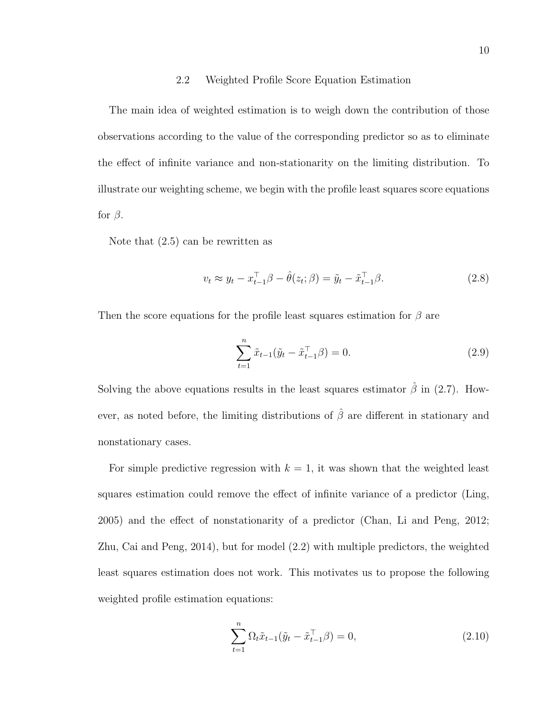### 2.2 Weighted Profile Score Equation Estimation

The main idea of weighted estimation is to weigh down the contribution of those observations according to the value of the corresponding predictor so as to eliminate the effect of infinite variance and non-stationarity on the limiting distribution. To illustrate our weighting scheme, we begin with the profile least squares score equations for  $\beta$ .

Note that (2.5) can be rewritten as

$$
v_t \approx y_t - x_{t-1}^\top \beta - \hat{\theta}(z_t; \beta) = \tilde{y}_t - \tilde{x}_{t-1}^\top \beta. \tag{2.8}
$$

Then the score equations for the profile least squares estimation for  $\beta$  are

$$
\sum_{t=1}^{n} \tilde{x}_{t-1}(\tilde{y}_t - \tilde{x}_{t-1}^{\top} \beta) = 0.
$$
 (2.9)

Solving the above equations results in the least squares estimator  $\hat{\beta}$  in (2.7). However, as noted before, the limiting distributions of  $\hat{\beta}$  are different in stationary and nonstationary cases.

For simple predictive regression with  $k = 1$ , it was shown that the weighted least squares estimation could remove the effect of infinite variance of a predictor (Ling, 2005) and the effect of nonstationarity of a predictor (Chan, Li and Peng, 2012; Zhu, Cai and Peng, 2014), but for model (2.2) with multiple predictors, the weighted least squares estimation does not work. This motivates us to propose the following weighted profile estimation equations:

$$
\sum_{t=1}^{n} \Omega_t \tilde{x}_{t-1}(\tilde{y}_t - \tilde{x}_{t-1}^{\top} \beta) = 0,
$$
\n(2.10)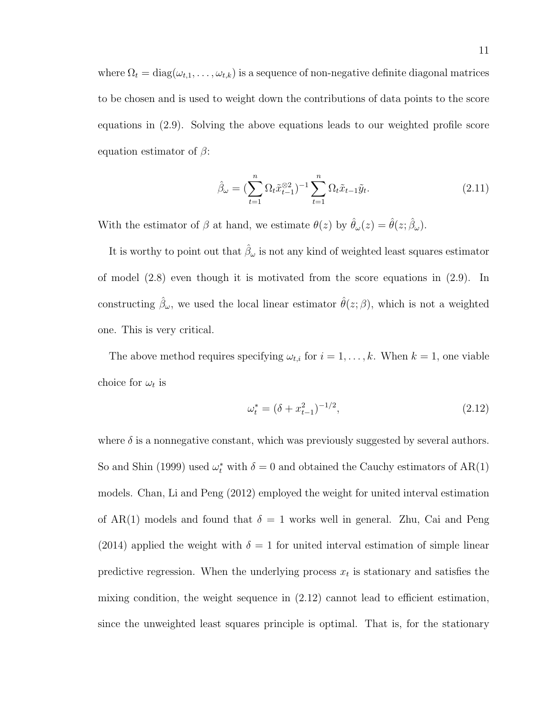where  $\Omega_t = \text{diag}(\omega_{t,1}, \dots, \omega_{t,k})$  is a sequence of non-negative definite diagonal matrices to be chosen and is used to weight down the contributions of data points to the score equations in (2.9). Solving the above equations leads to our weighted profile score equation estimator of  $\beta$ :

$$
\hat{\beta}_{\omega} = \left(\sum_{t=1}^{n} \Omega_t \tilde{x}_{t-1}^{\otimes 2}\right)^{-1} \sum_{t=1}^{n} \Omega_t \tilde{x}_{t-1} \tilde{y}_t.
$$
\n(2.11)

With the estimator of  $\beta$  at hand, we estimate  $\theta(z)$  by  $\hat{\theta}_{\omega}(z) = \hat{\theta}(z; \hat{\beta}_{\omega})$ .

It is worthy to point out that  $\hat{\beta}_{\omega}$  is not any kind of weighted least squares estimator of model (2.8) even though it is motivated from the score equations in (2.9). In constructing  $\hat{\beta}_{\omega}$ , we used the local linear estimator  $\hat{\theta}(z;\beta)$ , which is not a weighted one. This is very critical.

The above method requires specifying  $\omega_{t,i}$  for  $i = 1, \ldots, k$ . When  $k = 1$ , one viable choice for  $\omega_t$  is

$$
\omega_t^* = (\delta + x_{t-1}^2)^{-1/2},\tag{2.12}
$$

where  $\delta$  is a nonnegative constant, which was previously suggested by several authors. So and Shin (1999) used  $\omega_t^*$  with  $\delta = 0$  and obtained the Cauchy estimators of AR(1) models. Chan, Li and Peng (2012) employed the weight for united interval estimation of AR(1) models and found that  $\delta = 1$  works well in general. Zhu, Cai and Peng (2014) applied the weight with  $\delta = 1$  for united interval estimation of simple linear predictive regression. When the underlying process  $x_t$  is stationary and satisfies the mixing condition, the weight sequence in (2.12) cannot lead to efficient estimation, since the unweighted least squares principle is optimal. That is, for the stationary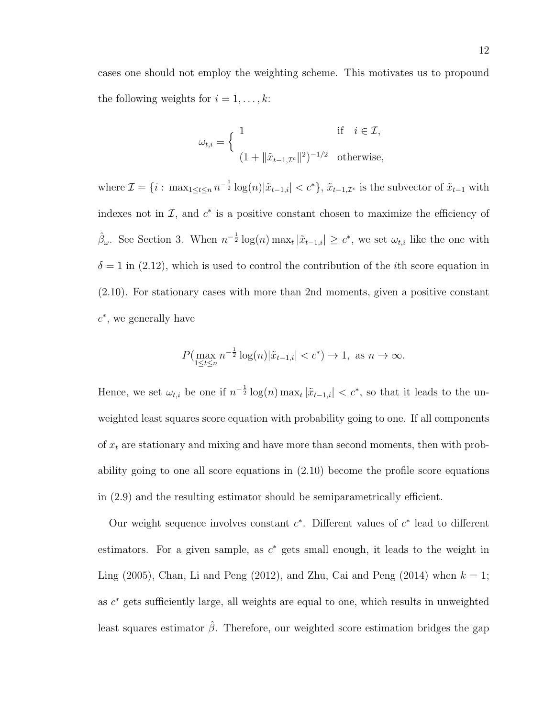cases one should not employ the weighting scheme. This motivates us to propound the following weights for  $i = 1, \ldots, k$ :

$$
\omega_{t,i} = \begin{cases} 1 & \text{if } i \in \mathcal{I}, \\ \left(1 + \|\tilde{x}_{t-1,\mathcal{I}^c}\|^2\right)^{-1/2} & \text{otherwise,} \end{cases}
$$

where  $\mathcal{I} = \{i : \max_{1 \leq t \leq n} n^{-\frac{1}{2}} \log(n) |\tilde{x}_{t-1,i}| < c^* \}, \tilde{x}_{t-1,\mathcal{I}^c}$  is the subvector of  $\tilde{x}_{t-1}$  with indexes not in  $\mathcal{I}$ , and  $c^*$  is a positive constant chosen to maximize the efficiency of  $\hat{\beta}_{\omega}$ . See Section 3. When  $n^{-\frac{1}{2}} \log(n) \max_{t} |\tilde{x}_{t-1,i}| \geq c^*$ , we set  $\omega_{t,i}$  like the one with  $\delta = 1$  in (2.12), which is used to control the contribution of the *i*th score equation in (2.10). For stationary cases with more than 2nd moments, given a positive constant  $c^*$ , we generally have

$$
P(\max_{1 \le t \le n} n^{-\frac{1}{2}} \log(n) | \tilde{x}_{t-1,i}| < c^*) \to 1, \text{ as } n \to \infty.
$$

Hence, we set  $\omega_{t,i}$  be one if  $n^{-\frac{1}{2}}\log(n) \max_t |\tilde{x}_{t-1,i}| < c^*$ , so that it leads to the unweighted least squares score equation with probability going to one. If all components of  $x_t$  are stationary and mixing and have more than second moments, then with probability going to one all score equations in (2.10) become the profile score equations in (2.9) and the resulting estimator should be semiparametrically efficient.

Our weight sequence involves constant  $c^*$ . Different values of  $c^*$  lead to different estimators. For a given sample, as  $c^*$  gets small enough, it leads to the weight in Ling (2005), Chan, Li and Peng (2012), and Zhu, Cai and Peng (2014) when  $k = 1$ ; as  $c^*$  gets sufficiently large, all weights are equal to one, which results in unweighted least squares estimator  $\hat{\beta}$ . Therefore, our weighted score estimation bridges the gap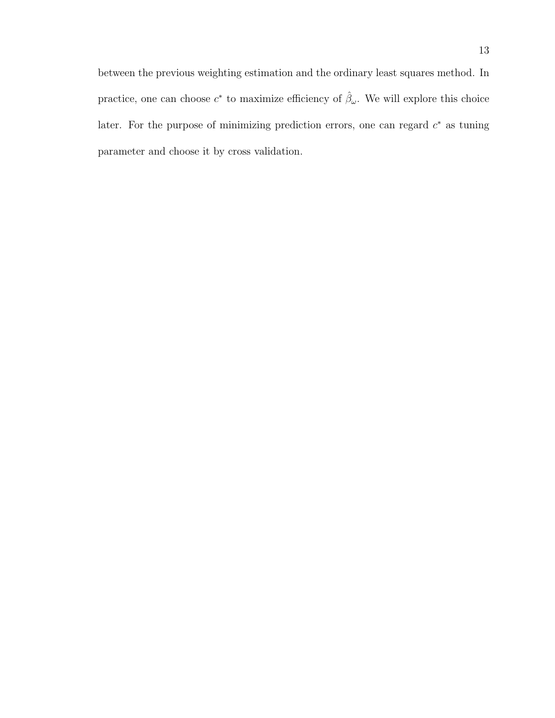between the previous weighting estimation and the ordinary least squares method. In practice, one can choose  $c^*$  to maximize efficiency of  $\hat{\beta}_{\omega}$ . We will explore this choice later. For the purpose of minimizing prediction errors, one can regard  $c^*$  as tuning parameter and choose it by cross validation.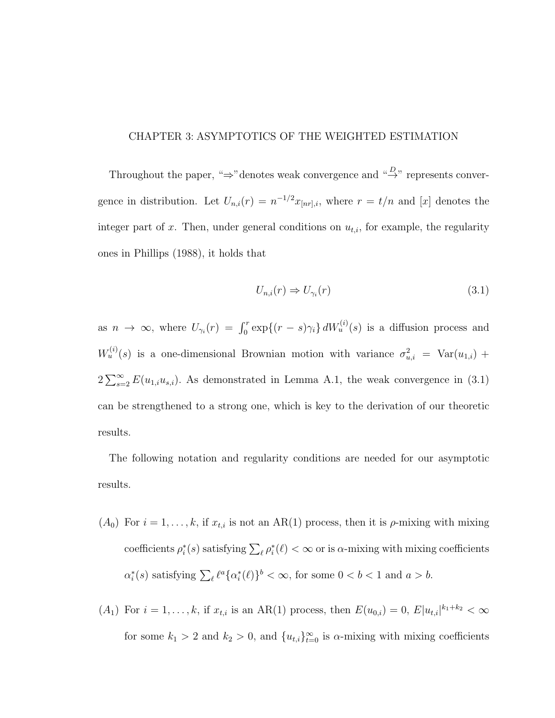## CHAPTER 3: ASYMPTOTICS OF THE WEIGHTED ESTIMATION

Throughout the paper, " $\Rightarrow$ " denotes weak convergence and " $\stackrel{D}{\rightarrow}$ " represents convergence in distribution. Let  $U_{n,i}(r) = n^{-1/2} x_{[nr],i}$ , where  $r = t/n$  and [x] denotes the integer part of x. Then, under general conditions on  $u_{t,i}$ , for example, the regularity ones in Phillips (1988), it holds that

$$
U_{n,i}(r) \Rightarrow U_{\gamma_i}(r) \tag{3.1}
$$

as  $n \to \infty$ , where  $U_{\gamma_i}(r) = \int_0^r \exp\{(r - s)\gamma_i\} dW_u^{(i)}(s)$  is a diffusion process and  $W_u^{(i)}(s)$  is a one-dimensional Brownian motion with variance  $\sigma_{u,i}^2 = \text{Var}(u_{1,i}) +$  $2\sum_{s=2}^{\infty} E(u_{1,i}u_{s,i})$ . As demonstrated in Lemma A.1, the weak convergence in (3.1) can be strengthened to a strong one, which is key to the derivation of our theoretic results.

The following notation and regularity conditions are needed for our asymptotic results.

- $(A_0)$  For  $i = 1, ..., k$ , if  $x_{t,i}$  is not an AR(1) process, then it is  $\rho$ -mixing with mixing coefficients  $\rho_i^*(s)$  satisfying  $\sum_{\ell} \rho_i^*(\ell) < \infty$  or is  $\alpha$ -mixing with mixing coefficients  $\alpha_i^*(s)$  satisfying  $\sum_{\ell} \ell^a {\{\alpha_i^*(\ell)\}}^b < \infty$ , for some  $0 < b < 1$  and  $a > b$ .
- $(A_1)$  For  $i = 1, ..., k$ , if  $x_{t,i}$  is an AR(1) process, then  $E(u_{0,i}) = 0$ ,  $E|u_{t,i}|^{k_1+k_2} < \infty$ for some  $k_1 > 2$  and  $k_2 > 0$ , and  $\{u_{t,i}\}_{t=0}^{\infty}$  is  $\alpha$ -mixing with mixing coefficients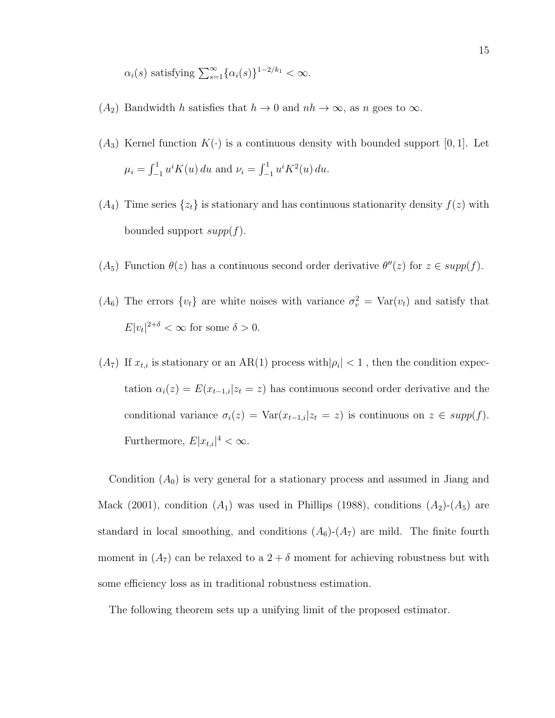$$
\alpha_i(s)
$$
 satisfying  $\sum_{s=1}^{\infty} {\{\alpha_i(s)\}}^{1-2/k_1} < \infty$ .

- $(A_2)$  Bandwidth h satisfies that  $h \to 0$  and  $nh \to \infty$ , as n goes to  $\infty$ .
- $(A_3)$  Kernel function  $K(\cdot)$  is a continuous density with bounded support [0, 1]. Let  $\mu_i = \int_{-1}^1 u^i K(u) \, du$  and  $\nu_i = \int_{-1}^1 u^i K^2(u) \, du$ .
- $(A_4)$  Time series  $\{z_t\}$  is stationary and has continuous stationarity density  $f(z)$  with bounded support  $supp(f)$ .
- $(A_5)$  Function  $\theta(z)$  has a continuous second order derivative  $\theta''(z)$  for  $z \in supp(f)$ .
- $(A_6)$  The errors  $\{v_t\}$  are white noises with variance  $\sigma_v^2 = \text{Var}(v_t)$  and satisfy that  $E|v_t|^{2+\delta} < \infty$  for some  $\delta > 0$ .
- $(A_7)$  If  $x_{t,i}$  is stationary or an AR(1) process with  $|\rho_i| < 1$ , then the condition expectation  $\alpha_i(z) = E(x_{t-1,i}|z_t = z)$  has continuous second order derivative and the conditional variance  $\sigma_i(z) = \text{Var}(x_{t-1,i}|z_t = z)$  is continuous on  $z \in supp(f)$ . Furthermore,  $E|x_{t,i}|^4 < \infty$ .

Condition  $(A_0)$  is very general for a stationary process and assumed in Jiang and Mack (2001), condition  $(A_1)$  was used in Phillips (1988), conditions  $(A_2)$ - $(A_5)$  are standard in local smoothing, and conditions  $(A_6)-(A_7)$  are mild. The finite fourth moment in  $(A_7)$  can be relaxed to a  $2 + \delta$  moment for achieving robustness but with some efficiency loss as in traditional robustness estimation.

The following theorem sets up a unifying limit of the proposed estimator.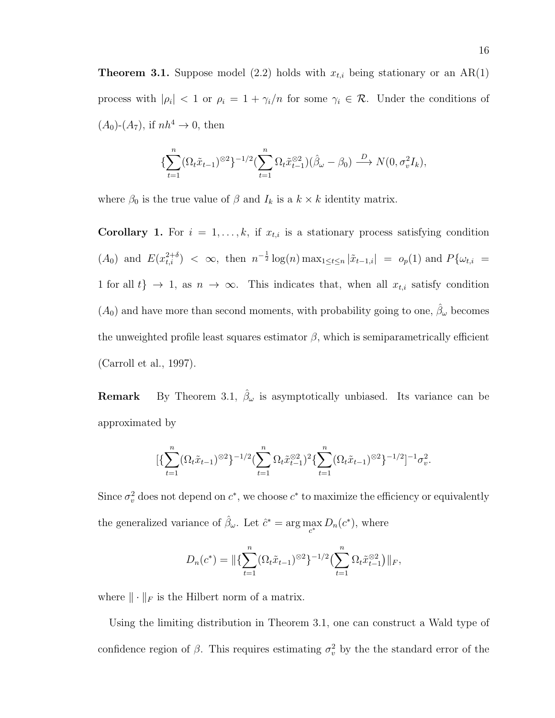**Theorem 3.1.** Suppose model (2.2) holds with  $x_{t,i}$  being stationary or an AR(1) process with  $|\rho_i| < 1$  or  $\rho_i = 1 + \gamma_i/n$  for some  $\gamma_i \in \mathcal{R}$ . Under the conditions of  $(A_0)$ - $(A_7)$ , if  $nh^4 \rightarrow 0$ , then

$$
\{\sum_{t=1}^n (\Omega_t \tilde{x}_{t-1})^{\otimes 2}\}^{-1/2} \left(\sum_{t=1}^n \Omega_t \tilde{x}_{t-1}^{\otimes 2}\right) (\hat{\beta}_{\omega} - \beta_0) \stackrel{D}{\longrightarrow} N(0, \sigma_v^2 I_k),
$$

where  $\beta_0$  is the true value of  $\beta$  and  $I_k$  is a  $k \times k$  identity matrix.

Corollary 1. For  $i = 1, ..., k$ , if  $x_{t,i}$  is a stationary process satisfying condition  $(A_0)$  and  $E(x_{t,i}^{2+\delta}) < \infty$ , then  $n^{-\frac{1}{2}} \log(n) \max_{1 \leq t \leq n} |\tilde{x}_{t-1,i}| = o_p(1)$  and  $P\{\omega_{t,i} =$ 1 for all  $t\} \rightarrow 1$ , as  $n \rightarrow \infty$ . This indicates that, when all  $x_{t,i}$  satisfy condition  $(A_0)$  and have more than second moments, with probability going to one,  $\hat{\beta}_{\omega}$  becomes the unweighted profile least squares estimator  $\beta$ , which is semiparametrically efficient (Carroll et al., 1997).

**Remark** By Theorem 3.1,  $\hat{\beta}_{\omega}$  is asymptotically unbiased. Its variance can be approximated by

$$
[\{\sum_{t=1}^n (\Omega_t \tilde{x}_{t-1})^{\otimes 2}\}^{-1/2} (\sum_{t=1}^n \Omega_t \tilde{x}_{t-1}^{\otimes 2})^2 \{\sum_{t=1}^n (\Omega_t \tilde{x}_{t-1})^{\otimes 2}\}^{-1/2}]^{-1} \sigma_v^2.
$$

Since  $\sigma_v^2$  does not depend on  $c^*$ , we choose  $c^*$  to maximize the efficiency or equivalently the generalized variance of  $\hat{\beta}_{\omega}$ . Let  $\hat{c}^* = \arg \max_{c^*} D_n(c^*)$ , where

$$
D_n(c^*) = \|\{\sum_{t=1}^n (\Omega_t \tilde{x}_{t-1})^{\otimes 2}\}^{-1/2} (\sum_{t=1}^n \Omega_t \tilde{x}_{t-1}^{\otimes 2})\|_F,
$$

where  $\|\cdot\|_F$  is the Hilbert norm of a matrix.

Using the limiting distribution in Theorem 3.1, one can construct a Wald type of confidence region of  $\beta$ . This requires estimating  $\sigma_v^2$  by the the standard error of the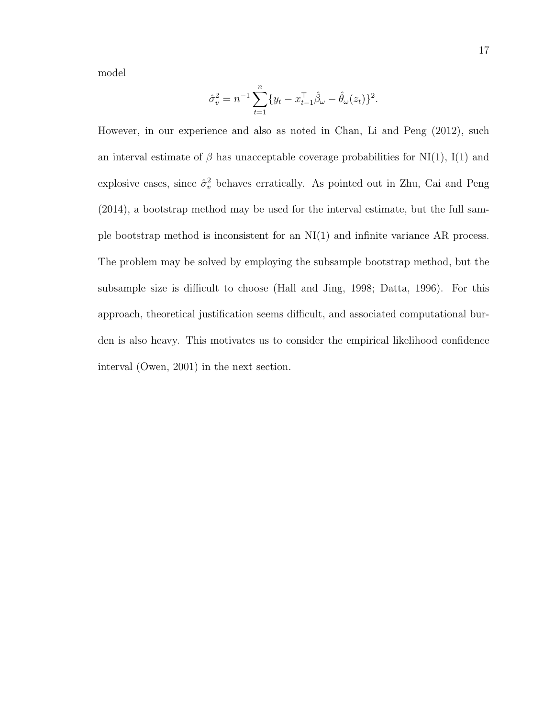model

$$
\hat{\sigma}_v^2 = n^{-1} \sum_{t=1}^n \{y_t - x_{t-1}^\top \hat{\beta}_\omega - \hat{\theta}_\omega(z_t)\}^2.
$$

However, in our experience and also as noted in Chan, Li and Peng (2012), such an interval estimate of  $\beta$  has unacceptable coverage probabilities for NI(1), I(1) and explosive cases, since  $\hat{\sigma}_v^2$  behaves erratically. As pointed out in Zhu, Cai and Peng (2014), a bootstrap method may be used for the interval estimate, but the full sample bootstrap method is inconsistent for an NI(1) and infinite variance AR process. The problem may be solved by employing the subsample bootstrap method, but the subsample size is difficult to choose (Hall and Jing, 1998; Datta, 1996). For this approach, theoretical justification seems difficult, and associated computational burden is also heavy. This motivates us to consider the empirical likelihood confidence interval (Owen, 2001) in the next section.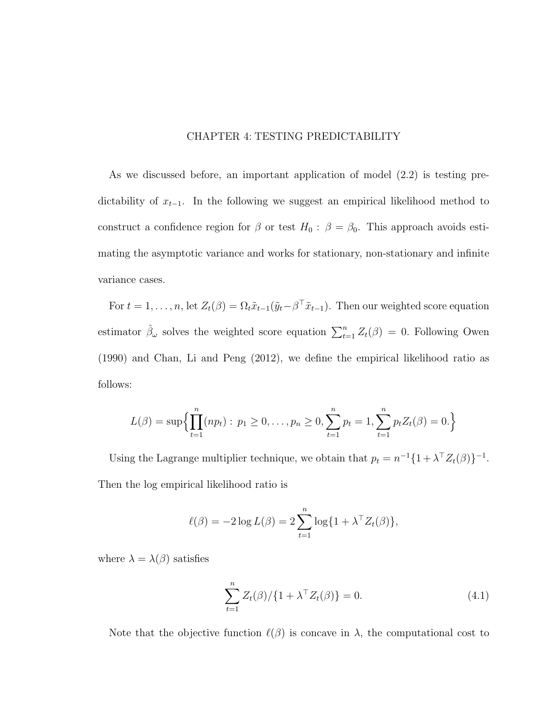## CHAPTER 4: TESTING PREDICTABILITY

As we discussed before, an important application of model (2.2) is testing predictability of  $x_{t-1}$ . In the following we suggest an empirical likelihood method to construct a confidence region for  $\beta$  or test  $H_0$ :  $\beta = \beta_0$ . This approach avoids estimating the asymptotic variance and works for stationary, non-stationary and infinite variance cases.

For  $t = 1, \ldots, n$ , let  $Z_t(\beta) = \Omega_t \tilde{x}_{t-1}(\tilde{y}_t - \beta^\top \tilde{x}_{t-1})$ . Then our weighted score equation estimator  $\hat{\beta}_{\omega}$  solves the weighted score equation  $\sum_{t=1}^{n} Z_t(\beta) = 0$ . Following Owen (1990) and Chan, Li and Peng (2012), we define the empirical likelihood ratio as follows:

$$
L(\beta) = \sup \Biggl\{ \prod_{t=1}^n (n p_t) : p_1 \geq 0, \ldots, p_n \geq 0, \sum_{t=1}^n p_t = 1, \sum_{t=1}^n p_t Z_t(\beta) = 0. \Biggr\}
$$

Using the Lagrange multiplier technique, we obtain that  $p_t = n^{-1} \{1 + \lambda^\top Z_t(\beta)\}^{-1}$ . Then the log empirical likelihood ratio is

$$
\ell(\beta) = -2\log L(\beta) = 2\sum_{t=1}^n \log\{1 + \lambda^\top Z_t(\beta)\},
$$

where  $\lambda = \lambda(\beta)$  satisfies

$$
\sum_{t=1}^{n} Z_t(\beta) / \{1 + \lambda^{\top} Z_t(\beta)\} = 0.
$$
 (4.1)

Note that the objective function  $\ell(\beta)$  is concave in  $\lambda$ , the computational cost to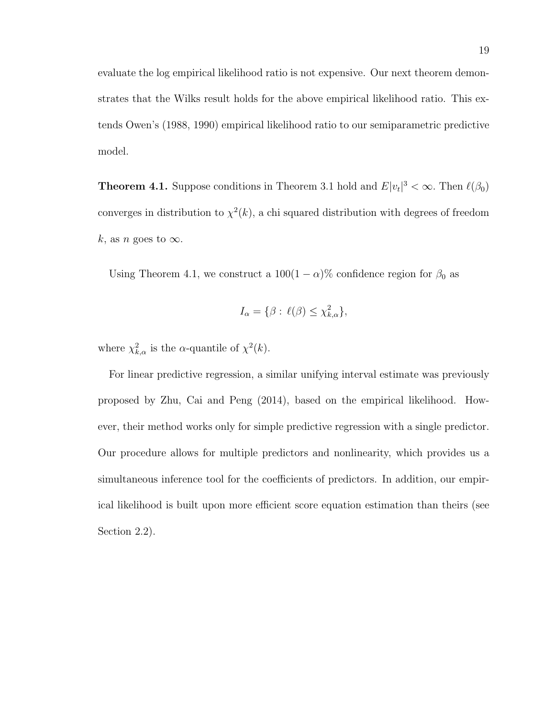evaluate the log empirical likelihood ratio is not expensive. Our next theorem demonstrates that the Wilks result holds for the above empirical likelihood ratio. This extends Owen's (1988, 1990) empirical likelihood ratio to our semiparametric predictive model.

**Theorem 4.1.** Suppose conditions in Theorem 3.1 hold and  $E|v_t|^3 < \infty$ . Then  $\ell(\beta_0)$ converges in distribution to  $\chi^2(k)$ , a chi squared distribution with degrees of freedom k, as n goes to  $\infty$ .

Using Theorem 4.1, we construct a  $100(1 - \alpha)$ % confidence region for  $\beta_0$  as

$$
I_{\alpha} = \{ \beta : \ell(\beta) \le \chi^2_{k,\alpha} \},
$$

where  $\chi^2_{k,\alpha}$  is the  $\alpha$ -quantile of  $\chi^2(k)$ .

For linear predictive regression, a similar unifying interval estimate was previously proposed by Zhu, Cai and Peng (2014), based on the empirical likelihood. However, their method works only for simple predictive regression with a single predictor. Our procedure allows for multiple predictors and nonlinearity, which provides us a simultaneous inference tool for the coefficients of predictors. In addition, our empirical likelihood is built upon more efficient score equation estimation than theirs (see Section 2.2).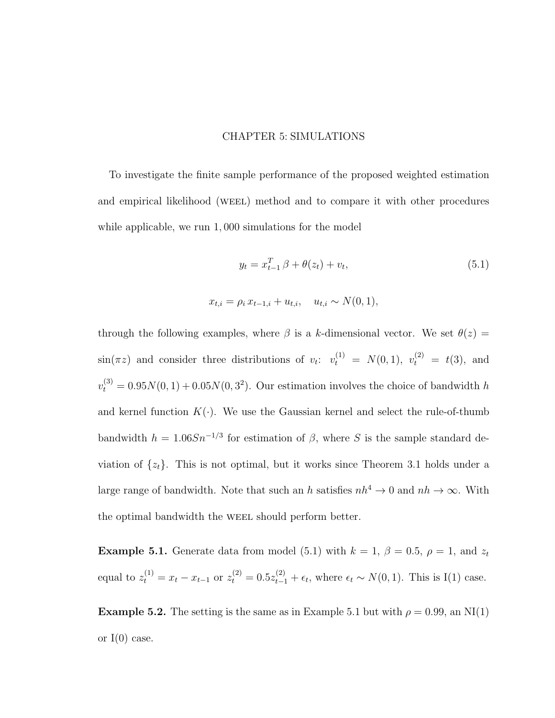### CHAPTER 5: SIMULATIONS

To investigate the finite sample performance of the proposed weighted estimation and empirical likelihood (weel) method and to compare it with other procedures while applicable, we run  $1,000$  simulations for the model

$$
y_t = x_{t-1}^T \beta + \theta(z_t) + v_t,
$$
\n(5.1)

$$
x_{t,i} = \rho_i x_{t-1,i} + u_{t,i}, \quad u_{t,i} \sim N(0, 1),
$$

through the following examples, where  $\beta$  is a k-dimensional vector. We set  $\theta(z)$  =  $\sin(\pi z)$  and consider three distributions of  $v_t$ :  $v_t^{(1)} = N(0, 1)$ ,  $v_t^{(2)} = t(3)$ , and  $v_t^{(3)} = 0.95N(0, 1) + 0.05N(0, 3^2)$ . Our estimation involves the choice of bandwidth h and kernel function  $K(\cdot)$ . We use the Gaussian kernel and select the rule-of-thumb bandwidth  $h = 1.06Sn^{-1/3}$  for estimation of  $\beta$ , where S is the sample standard deviation of  $\{z_t\}$ . This is not optimal, but it works since Theorem 3.1 holds under a large range of bandwidth. Note that such an h satisfies  $nh^4 \to 0$  and  $nh \to \infty$ . With the optimal bandwidth the WEEL should perform better.

**Example 5.1.** Generate data from model (5.1) with  $k = 1$ ,  $\beta = 0.5$ ,  $\rho = 1$ , and  $z_t$ equal to  $z_t^{(1)} = x_t - x_{t-1}$  or  $z_t^{(2)} = 0.5z_{t-1}^{(2)} + \epsilon_t$ , where  $\epsilon_t \sim N(0, 1)$ . This is I(1) case.

**Example 5.2.** The setting is the same as in Example 5.1 but with  $\rho = 0.99$ , an NI(1) or  $I(0)$  case.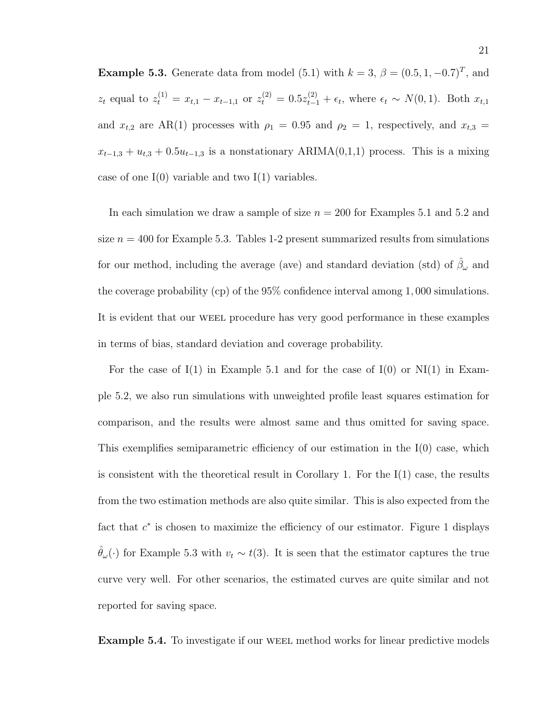**Example 5.3.** Generate data from model (5.1) with  $k = 3$ ,  $\beta = (0.5, 1, -0.7)^T$ , and  $z_t$  equal to  $z_t^{(1)} = x_{t,1} - x_{t-1,1}$  or  $z_t^{(2)} = 0.5z_{t-1}^{(2)} + \epsilon_t$ , where  $\epsilon_t \sim N(0, 1)$ . Both  $x_{t,1}$ and  $x_{t,2}$  are AR(1) processes with  $\rho_1 = 0.95$  and  $\rho_2 = 1$ , respectively, and  $x_{t,3} =$  $x_{t-1,3} + u_{t,3} + 0.5u_{t-1,3}$  is a nonstationary ARIMA(0,1,1) process. This is a mixing case of one  $I(0)$  variable and two  $I(1)$  variables.

In each simulation we draw a sample of size  $n = 200$  for Examples 5.1 and 5.2 and size  $n = 400$  for Example 5.3. Tables 1-2 present summarized results from simulations for our method, including the average (ave) and standard deviation (std) of  $\hat{\beta}_{\omega}$  and the coverage probability (cp) of the 95% confidence interval among 1, 000 simulations. It is evident that our weel procedure has very good performance in these examples in terms of bias, standard deviation and coverage probability.

For the case of  $I(1)$  in Example 5.1 and for the case of  $I(0)$  or  $NI(1)$  in Example 5.2, we also run simulations with unweighted profile least squares estimation for comparison, and the results were almost same and thus omitted for saving space. This exemplifies semiparametric efficiency of our estimation in the I(0) case, which is consistent with the theoretical result in Corollary 1. For the  $I(1)$  case, the results from the two estimation methods are also quite similar. This is also expected from the fact that  $c^*$  is chosen to maximize the efficiency of our estimator. Figure 1 displays  $\hat{\theta}_{\omega}(\cdot)$  for Example 5.3 with  $v_t \sim t(3)$ . It is seen that the estimator captures the true curve very well. For other scenarios, the estimated curves are quite similar and not reported for saving space.

Example 5.4. To investigate if our weel method works for linear predictive models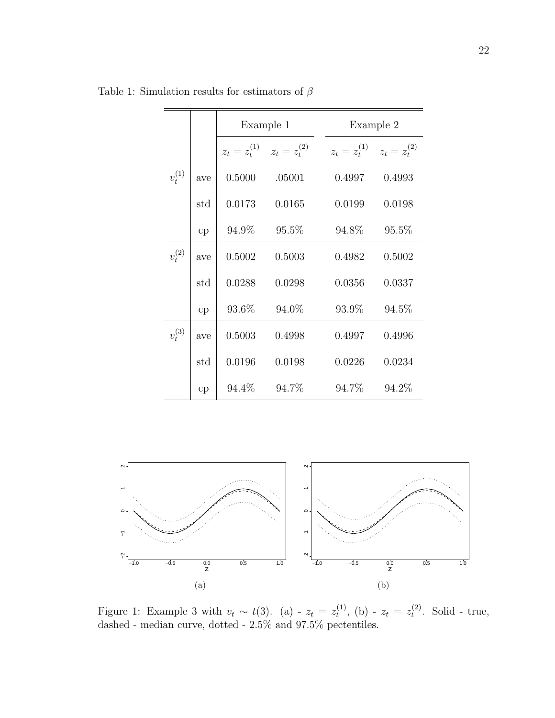|             |              | Example 1                           |        |        | Example 2                           |
|-------------|--------------|-------------------------------------|--------|--------|-------------------------------------|
|             |              | $z_t = z_t^{(1)}$ $z_t = z_t^{(2)}$ |        |        | $z_t = z_t^{(1)}$ $z_t = z_t^{(2)}$ |
| $v_t^{(1)}$ | ave          | 0.5000                              | .05001 | 0.4997 | 0.4993                              |
|             | $_{\rm std}$ | 0.0173                              | 0.0165 | 0.0199 | 0.0198                              |
|             | cp           | 94.9%                               | 95.5%  | 94.8%  | 95.5%                               |
| $v_t^{(2)}$ | ave          | 0.5002                              | 0.5003 | 0.4982 | 0.5002                              |
|             | $_{\rm std}$ | 0.0288                              | 0.0298 | 0.0356 | 0.0337                              |
|             | cp           | 93.6%                               | 94.0%  | 93.9%  | 94.5%                               |
| $v_t^{(3)}$ | ave          | 0.5003                              | 0.4998 | 0.4997 | 0.4996                              |
|             | $_{\rm std}$ | 0.0196                              | 0.0198 | 0.0226 | 0.0234                              |
|             | cp           | 94.4\%                              | 94.7%  | 94.7%  | 94.2%                               |

Table 1: Simulation results for estimators of  $\beta$ 



Figure 1: Example 3 with  $v_t \sim t(3)$ . (a) -  $z_t = z_t^{(1)}$  $t^{(1)}$ , (b) -  $z_t = z_t^{(2)}$  $t^{(2)}$ . Solid - true, dashed - median curve, dotted - 2.5% and 97.5% pectentiles.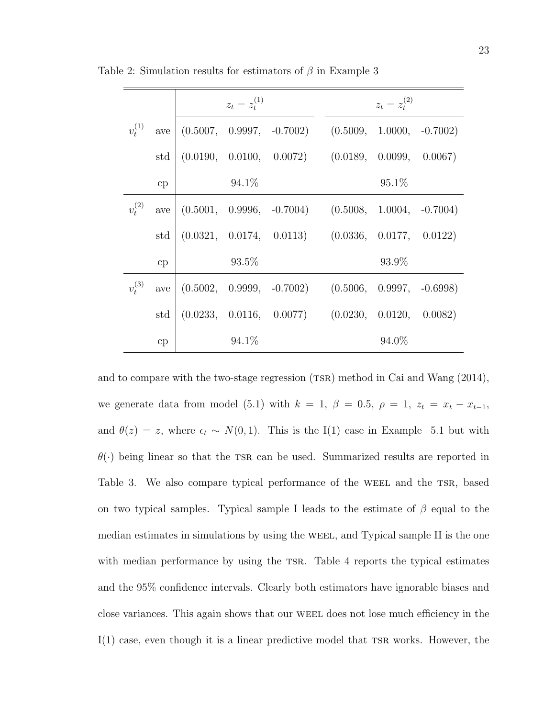|             |     | $z_t = z_t^{(1)}$ |                                                         | $z_t = z_*^{(2)}$ |  |
|-------------|-----|-------------------|---------------------------------------------------------|-------------------|--|
| $v_t^{(1)}$ | ave |                   | $(0.5007, 0.9997, -0.7002)$ $(0.5009, 1.0000, -0.7002)$ |                   |  |
|             | std |                   | $(0.0190, 0.0100, 0.0072)$ $(0.0189, 0.0099, 0.0067)$   |                   |  |
|             | cp  | $94.1\%$          |                                                         | $95.1\%$          |  |
| $v_t^{(2)}$ | ave |                   | $(0.5001, 0.9996, -0.7004)$ $(0.5008, 1.0004, -0.7004)$ |                   |  |
|             | std |                   | $(0.0321, 0.0174, 0.0113)$ $(0.0336, 0.0177, 0.0122)$   |                   |  |
|             | cp  | $93.5\%$          |                                                         | 93.9%             |  |
| $v_t^{(3)}$ | ave |                   | $(0.5002, 0.9999, -0.7002)$ $(0.5006, 0.9997, -0.6998)$ |                   |  |
|             | std |                   | $(0.0233, 0.0116, 0.0077)$ $(0.0230, 0.0120, 0.0082)$   |                   |  |
|             | cp  | $94.1\%$          |                                                         | 94.0%             |  |

Table 2: Simulation results for estimators of  $\beta$  in Example 3

and to compare with the two-stage regression  $(TSR)$  method in Cai and Wang  $(2014)$ , we generate data from model (5.1) with  $k = 1$ ,  $\beta = 0.5$ ,  $\rho = 1$ ,  $z_t = x_t - x_{t-1}$ , and  $\theta(z) = z$ , where  $\epsilon_t \sim N(0, 1)$ . This is the I(1) case in Example 5.1 but with  $\theta(\cdot)$  being linear so that the TSR can be used. Summarized results are reported in Table 3. We also compare typical performance of the WEEL and the TSR, based on two typical samples. Typical sample I leads to the estimate of  $\beta$  equal to the median estimates in simulations by using the WEEL, and Typical sample II is the one with median performance by using the TSR. Table 4 reports the typical estimates and the 95% confidence intervals. Clearly both estimators have ignorable biases and close variances. This again shows that our weel does not lose much efficiency in the  $I(1)$  case, even though it is a linear predictive model that TSR works. However, the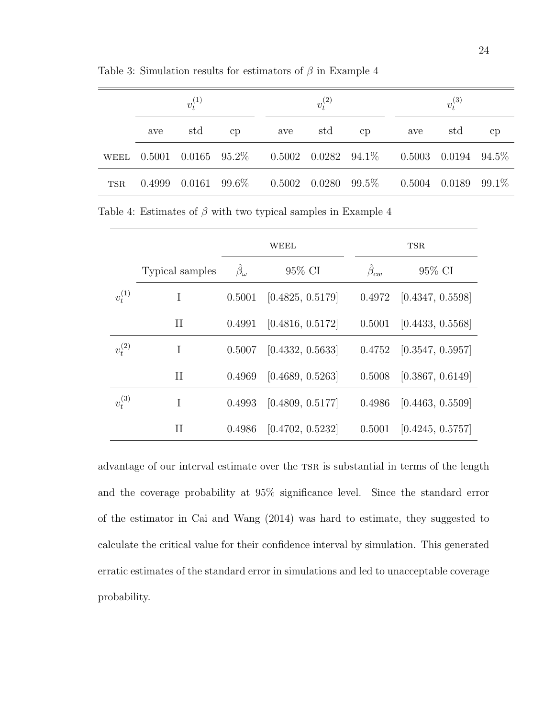|            | $v^{(1)}_t$ |     |          | $v^{(2)}_t$ |     |    | $v_t^{(3)}$                                                             |     |    |
|------------|-------------|-----|----------|-------------|-----|----|-------------------------------------------------------------------------|-----|----|
|            | ave         | std | $\rm cp$ | ave         | std | cp | ave                                                                     | std | cp |
|            |             |     |          |             |     |    | WEEL 0.5001 0.0165 95.2\% 0.5002 0.0282 94.1\% 0.5003 0.0194 94.5\%     |     |    |
| <b>TSR</b> | 0.4999      |     |          |             |     |    | $0.0161$ $99.6\%$ $0.5002$ $0.0280$ $99.5\%$ $0.5004$ $0.0189$ $99.1\%$ |     |    |

Table 3: Simulation results for estimators of  $\beta$  in Example 4

Table 4: Estimates of  $\beta$  with two typical samples in Example 4

|             |                 | WEEL           |                  |                    | <b>TSR</b>       |
|-------------|-----------------|----------------|------------------|--------------------|------------------|
|             | Typical samples | $\beta_\omega$ | 95\% CI          | $\hat{\beta}_{cw}$ | $95\%$ CI        |
| $v_t^{(1)}$ | I               | 0.5001         | [0.4825, 0.5179] | 0.4972             | [0.4347, 0.5598] |
|             | П               | 0.4991         | [0.4816, 0.5172] | 0.5001             | [0.4433, 0.5568] |
| $v_t^{(2)}$ | Ι               | 0.5007         | [0.4332, 0.5633] | 0.4752             | [0.3547, 0.5957] |
|             | П               | 0.4969         | [0.4689, 0.5263] | 0.5008             | [0.3867, 0.6149] |
| $v_t^{(3)}$ | I               | 0.4993         | [0.4809, 0.5177] | 0.4986             | [0.4463, 0.5509] |
|             | П               | 0.4986         | [0.4702, 0.5232] | 0.5001             | [0.4245, 0.5757] |

advantage of our interval estimate over the TSR is substantial in terms of the length and the coverage probability at 95% significance level. Since the standard error of the estimator in Cai and Wang (2014) was hard to estimate, they suggested to calculate the critical value for their confidence interval by simulation. This generated erratic estimates of the standard error in simulations and led to unacceptable coverage probability.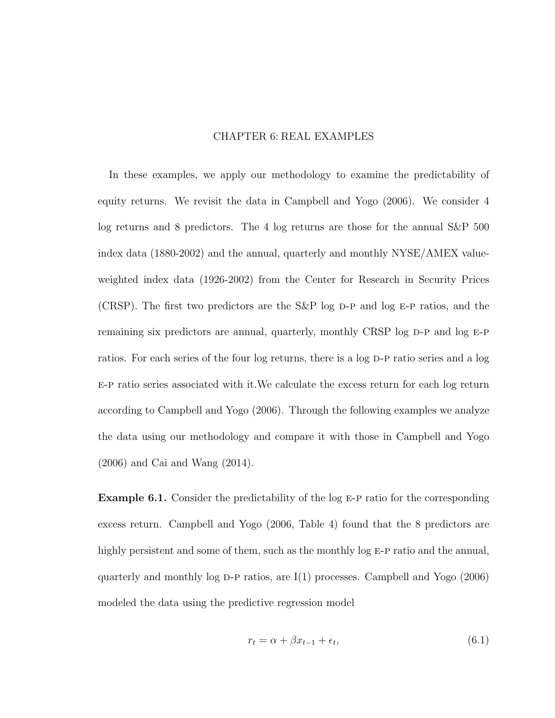## CHAPTER 6: REAL EXAMPLES

In these examples, we apply our methodology to examine the predictability of equity returns. We revisit the data in Campbell and Yogo (2006). We consider 4 log returns and 8 predictors. The 4 log returns are those for the annual S&P 500 index data (1880-2002) and the annual, quarterly and monthly NYSE/AMEX valueweighted index data (1926-2002) from the Center for Research in Security Prices (CRSP). The first two predictors are the S&P log  $D-P$  and log E-P ratios, and the remaining six predictors are annual, quarterly, monthly CRSP log D-P and log E-P ratios. For each series of the four log returns, there is a log D-P ratio series and a log e-p ratio series associated with it.We calculate the excess return for each log return according to Campbell and Yogo (2006). Through the following examples we analyze the data using our methodology and compare it with those in Campbell and Yogo (2006) and Cai and Wang (2014).

Example 6.1. Consider the predictability of the log E-P ratio for the corresponding excess return. Campbell and Yogo (2006, Table 4) found that the 8 predictors are highly persistent and some of them, such as the monthly log E-P ratio and the annual, quarterly and monthly log  $D-P$  ratios, are  $I(1)$  processes. Campbell and Yogo (2006) modeled the data using the predictive regression model

$$
r_t = \alpha + \beta x_{t-1} + \epsilon_t, \tag{6.1}
$$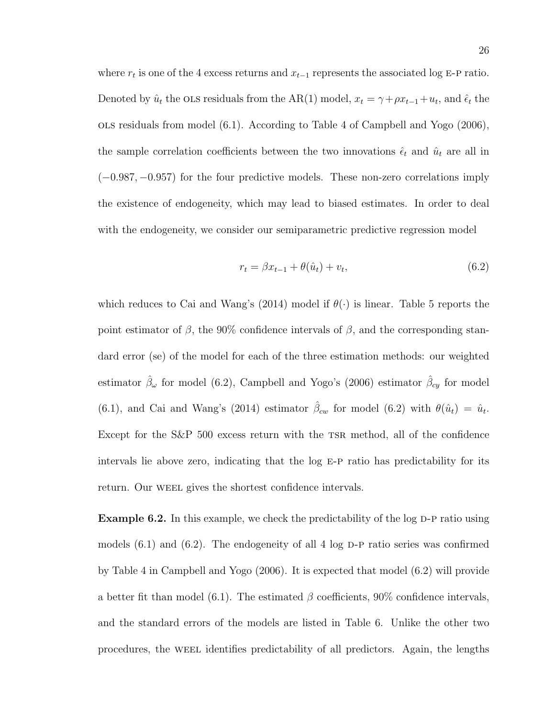where  $r_t$  is one of the 4 excess returns and  $x_{t-1}$  represents the associated log E-P ratio. Denoted by  $\hat{u}_t$  the OLS residuals from the AR(1) model,  $x_t = \gamma + \rho x_{t-1} + u_t$ , and  $\hat{\epsilon}_t$  the ols residuals from model (6.1). According to Table 4 of Campbell and Yogo (2006), the sample correlation coefficients between the two innovations  $\hat{\epsilon}_t$  and  $\hat{u}_t$  are all in (−0.987, −0.957) for the four predictive models. These non-zero correlations imply the existence of endogeneity, which may lead to biased estimates. In order to deal with the endogeneity, we consider our semiparametric predictive regression model

$$
r_t = \beta x_{t-1} + \theta(\hat{u}_t) + v_t,
$$
\n(6.2)

which reduces to Cai and Wang's (2014) model if  $\theta(\cdot)$  is linear. Table 5 reports the point estimator of  $\beta$ , the 90% confidence intervals of  $\beta$ , and the corresponding standard error (se) of the model for each of the three estimation methods: our weighted estimator  $\hat{\beta}_{\omega}$  for model (6.2), Campbell and Yogo's (2006) estimator  $\hat{\beta}_{cy}$  for model (6.1), and Cai and Wang's (2014) estimator  $\hat{\beta}_{cw}$  for model (6.2) with  $\theta(\hat{u}_t) = \hat{u}_t$ . Except for the  $S\&P$  500 excess return with the TSR method, all of the confidence intervals lie above zero, indicating that the  $log E$ -P ratio has predictability for its return. Our WEEL gives the shortest confidence intervals.

**Example 6.2.** In this example, we check the predictability of the log  $D-P$  ratio using models  $(6.1)$  and  $(6.2)$ . The endogeneity of all 4 log D-P ratio series was confirmed by Table 4 in Campbell and Yogo (2006). It is expected that model (6.2) will provide a better fit than model (6.1). The estimated  $\beta$  coefficients, 90% confidence intervals, and the standard errors of the models are listed in Table 6. Unlike the other two procedures, the weel identifies predictability of all predictors. Again, the lengths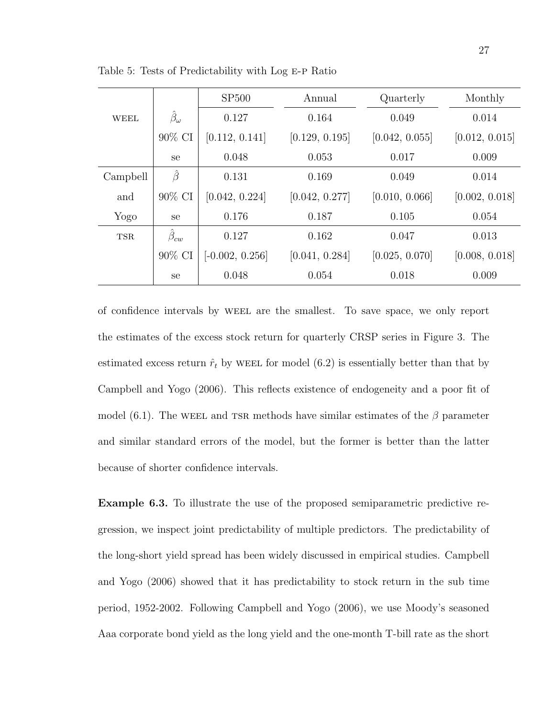|            |                      | SP500             | Annual         | Quarterly      | Monthly        |
|------------|----------------------|-------------------|----------------|----------------|----------------|
| WEEL       | $\hat{\beta}_\omega$ | 0.127             | 0.164          | 0.049          | 0.014          |
|            | 90% CI               | [0.112, 0.141]    | [0.129, 0.195] | [0.042, 0.055] | [0.012, 0.015] |
|            | se                   | 0.048             | 0.053          | 0.017          | 0.009          |
| Campbell   | $\hat{\beta}$        | 0.131             | 0.169          | 0.049          | 0.014          |
| and        | $90\%$ CI            | [0.042, 0.224]    | [0.042, 0.277] | [0.010, 0.066] | [0.002, 0.018] |
| Yogo       | se                   | 0.176             | 0.187          | 0.105          | 0.054          |
| <b>TSR</b> | $\hat{\beta}_{cw}$   | 0.127             | 0.162          | 0.047          | 0.013          |
|            | 90% CI               | $[-0.002, 0.256]$ | [0.041, 0.284] | [0.025, 0.070] | [0.008, 0.018] |
|            | se                   | 0.048             | 0.054          | 0.018          | 0.009          |

Table 5: Tests of Predictability with Log e-p Ratio

of confidence intervals by weel are the smallest. To save space, we only report the estimates of the excess stock return for quarterly CRSP series in Figure 3. The estimated excess return  $\hat{r}_t$  by WEEL for model (6.2) is essentially better than that by Campbell and Yogo (2006). This reflects existence of endogeneity and a poor fit of model (6.1). The WEEL and TSR methods have similar estimates of the  $\beta$  parameter and similar standard errors of the model, but the former is better than the latter because of shorter confidence intervals.

Example 6.3. To illustrate the use of the proposed semiparametric predictive regression, we inspect joint predictability of multiple predictors. The predictability of the long-short yield spread has been widely discussed in empirical studies. Campbell and Yogo (2006) showed that it has predictability to stock return in the sub time period, 1952-2002. Following Campbell and Yogo (2006), we use Moody's seasoned Aaa corporate bond yield as the long yield and the one-month T-bill rate as the short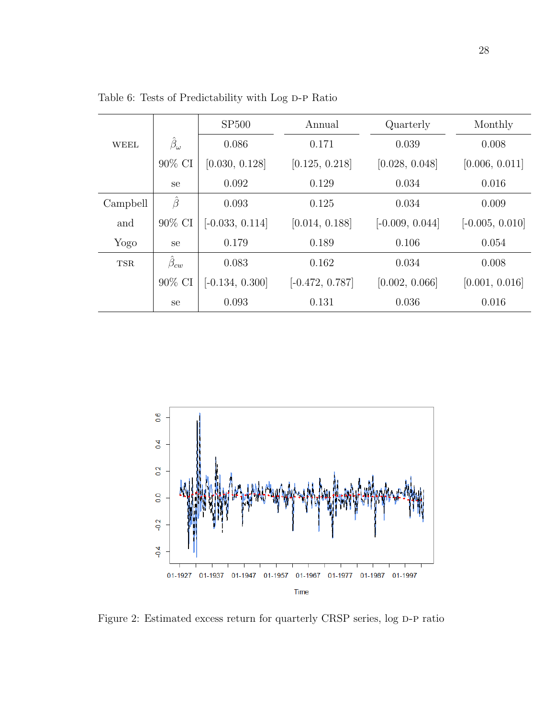|            |                      | SP500             | Annual            | Quarterly         | Monthly           |
|------------|----------------------|-------------------|-------------------|-------------------|-------------------|
| WEEL       | $\hat{\beta}_\omega$ | 0.086             | 0.171             | 0.039             | 0.008             |
|            | 90% CI               | [0.030, 0.128]    | [0.125, 0.218]    | [0.028, 0.048]    | [0.006, 0.011]    |
|            | se                   | 0.092             | 0.129             | 0.034             | 0.016             |
| Campbell   | $\hat{\beta}$        | 0.093             | 0.125             | 0.034             | 0.009             |
| and        | $90\%$ CI            | $[-0.033, 0.114]$ | [0.014, 0.188]    | $[-0.009, 0.044]$ | $[-0.005, 0.010]$ |
| Yogo       | <sub>se</sub>        | 0.179             | 0.189             | 0.106             | 0.054             |
| <b>TSR</b> | $\beta_{cw}$         | 0.083             | 0.162             | 0.034             | 0.008             |
|            | 90% CI               | $[-0.134, 0.300]$ | $[-0.472, 0.787]$ | [0.002, 0.066]    | [0.001, 0.016]    |
|            | se                   | 0.093             | 0.131             | 0.036             | 0.016             |

Table 6: Tests of Predictability with Log D-P Ratio



Figure 2: Estimated excess return for quarterly CRSP series, log D-P ratio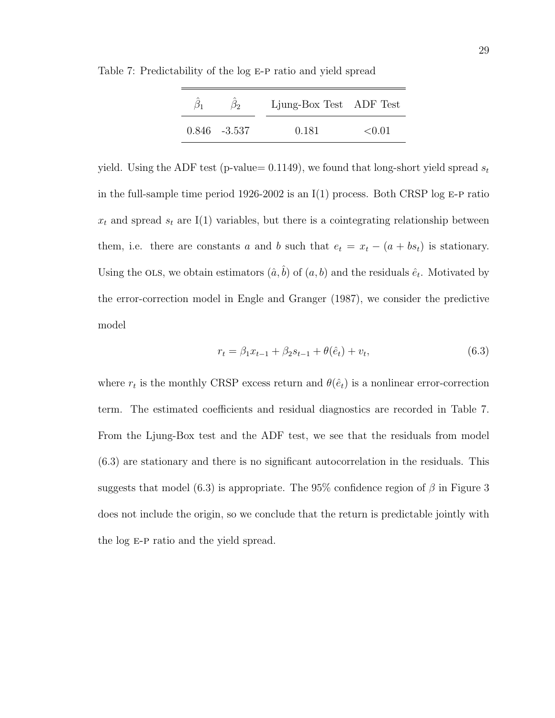| Ø٥              | Ljung-Box Test ADF Test |             |
|-----------------|-------------------------|-------------|
| $0.846 - 3.537$ | 0.181                   | $\leq 0.01$ |

Table 7: Predictability of the log E-P ratio and yield spread

yield. Using the ADF test (p-value= 0.1149), we found that long-short yield spread  $s_t$ in the full-sample time period 1926-2002 is an  $I(1)$  process. Both CRSP log E-P ratio  $x_t$  and spread  $s_t$  are I(1) variables, but there is a cointegrating relationship between them, i.e. there are constants a and b such that  $e_t = x_t - (a + bs_t)$  is stationary. Using the OLS, we obtain estimators  $(\hat{a}, \hat{b})$  of  $(a, b)$  and the residuals  $\hat{e}_t$ . Motivated by the error-correction model in Engle and Granger (1987), we consider the predictive model

$$
r_t = \beta_1 x_{t-1} + \beta_2 s_{t-1} + \theta(\hat{e}_t) + v_t, \tag{6.3}
$$

where  $r_t$  is the monthly CRSP excess return and  $\theta(\hat{e}_t)$  is a nonlinear error-correction term. The estimated coefficients and residual diagnostics are recorded in Table 7. From the Ljung-Box test and the ADF test, we see that the residuals from model (6.3) are stationary and there is no significant autocorrelation in the residuals. This suggests that model (6.3) is appropriate. The 95% confidence region of  $\beta$  in Figure 3 does not include the origin, so we conclude that the return is predictable jointly with the log e-p ratio and the yield spread.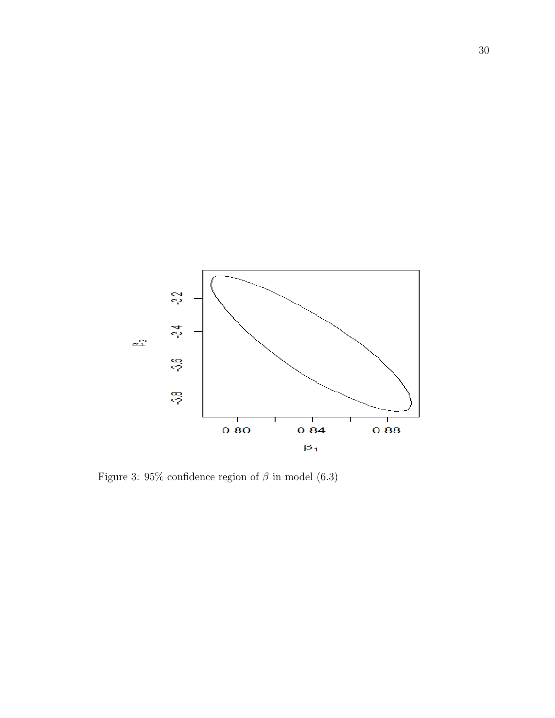

Figure 3: 95% confidence region of  $\beta$  in model (6.3)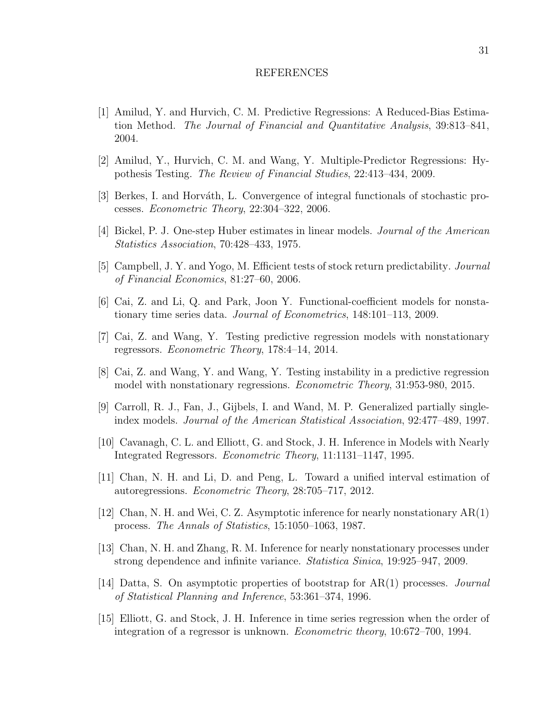#### REFERENCES

- [1] Amilud, Y. and Hurvich, C. M. Predictive Regressions: A Reduced-Bias Estimation Method. The Journal of Financial and Quantitative Analysis, 39:813–841, 2004.
- [2] Amilud, Y., Hurvich, C. M. and Wang, Y. Multiple-Predictor Regressions: Hypothesis Testing. The Review of Financial Studies, 22:413–434, 2009.
- [3] Berkes, I. and Horváth, L. Convergence of integral functionals of stochastic processes. Econometric Theory, 22:304–322, 2006.
- [4] Bickel, P. J. One-step Huber estimates in linear models. Journal of the American Statistics Association, 70:428–433, 1975.
- [5] Campbell, J. Y. and Yogo, M. Efficient tests of stock return predictability. Journal of Financial Economics, 81:27–60, 2006.
- [6] Cai, Z. and Li, Q. and Park, Joon Y. Functional-coefficient models for nonstationary time series data. Journal of Econometrics, 148:101–113, 2009.
- [7] Cai, Z. and Wang, Y. Testing predictive regression models with nonstationary regressors. Econometric Theory, 178:4–14, 2014.
- [8] Cai, Z. and Wang, Y. and Wang, Y. Testing instability in a predictive regression model with nonstationary regressions. Econometric Theory, 31:953-980, 2015.
- [9] Carroll, R. J., Fan, J., Gijbels, I. and Wand, M. P. Generalized partially singleindex models. Journal of the American Statistical Association, 92:477–489, 1997.
- [10] Cavanagh, C. L. and Elliott, G. and Stock, J. H. Inference in Models with Nearly Integrated Regressors. Econometric Theory, 11:1131–1147, 1995.
- [11] Chan, N. H. and Li, D. and Peng, L. Toward a unified interval estimation of autoregressions. Econometric Theory, 28:705–717, 2012.
- [12] Chan, N. H. and Wei, C. Z. Asymptotic inference for nearly nonstationary AR(1) process. The Annals of Statistics, 15:1050–1063, 1987.
- [13] Chan, N. H. and Zhang, R. M. Inference for nearly nonstationary processes under strong dependence and infinite variance. Statistica Sinica, 19:925–947, 2009.
- [14] Datta, S. On asymptotic properties of bootstrap for AR(1) processes. Journal of Statistical Planning and Inference, 53:361–374, 1996.
- [15] Elliott, G. and Stock, J. H. Inference in time series regression when the order of integration of a regressor is unknown. Econometric theory, 10:672–700, 1994.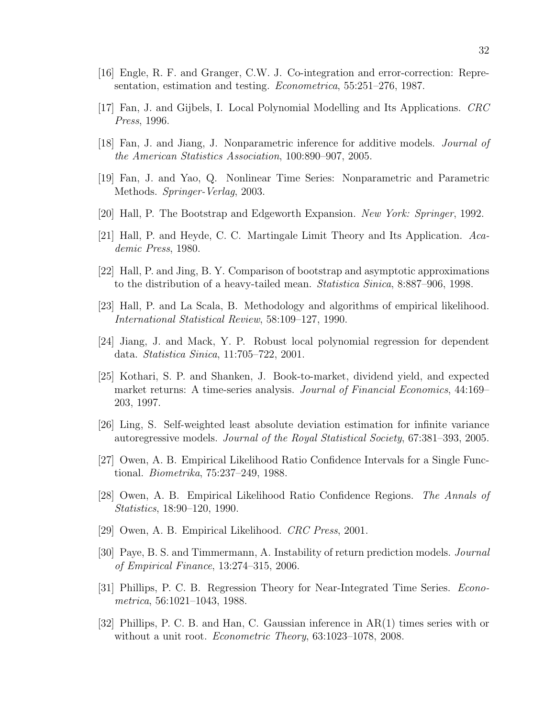- [16] Engle, R. F. and Granger, C.W. J. Co-integration and error-correction: Representation, estimation and testing. Econometrica, 55:251–276, 1987.
- [17] Fan, J. and Gijbels, I. Local Polynomial Modelling and Its Applications. CRC Press, 1996.
- [18] Fan, J. and Jiang, J. Nonparametric inference for additive models. Journal of the American Statistics Association, 100:890–907, 2005.
- [19] Fan, J. and Yao, Q. Nonlinear Time Series: Nonparametric and Parametric Methods. Springer-Verlag, 2003.
- [20] Hall, P. The Bootstrap and Edgeworth Expansion. New York: Springer, 1992.
- [21] Hall, P. and Heyde, C. C. Martingale Limit Theory and Its Application. Academic Press, 1980.
- [22] Hall, P. and Jing, B. Y. Comparison of bootstrap and asymptotic approximations to the distribution of a heavy-tailed mean. Statistica Sinica, 8:887–906, 1998.
- [23] Hall, P. and La Scala, B. Methodology and algorithms of empirical likelihood. International Statistical Review, 58:109–127, 1990.
- [24] Jiang, J. and Mack, Y. P. Robust local polynomial regression for dependent data. Statistica Sinica, 11:705–722, 2001.
- [25] Kothari, S. P. and Shanken, J. Book-to-market, dividend yield, and expected market returns: A time-series analysis. *Journal of Financial Economics*, 44:169– 203, 1997.
- [26] Ling, S. Self-weighted least absolute deviation estimation for infinite variance autoregressive models. Journal of the Royal Statistical Society, 67:381–393, 2005.
- [27] Owen, A. B. Empirical Likelihood Ratio Confidence Intervals for a Single Functional. Biometrika, 75:237–249, 1988.
- [28] Owen, A. B. Empirical Likelihood Ratio Confidence Regions. The Annals of Statistics, 18:90–120, 1990.
- [29] Owen, A. B. Empirical Likelihood. CRC Press, 2001.
- [30] Paye, B. S. and Timmermann, A. Instability of return prediction models. Journal of Empirical Finance, 13:274–315, 2006.
- [31] Phillips, P. C. B. Regression Theory for Near-Integrated Time Series. Econometrica, 56:1021–1043, 1988.
- [32] Phillips, P. C. B. and Han, C. Gaussian inference in AR(1) times series with or without a unit root. *Econometric Theory*, 63:1023–1078, 2008.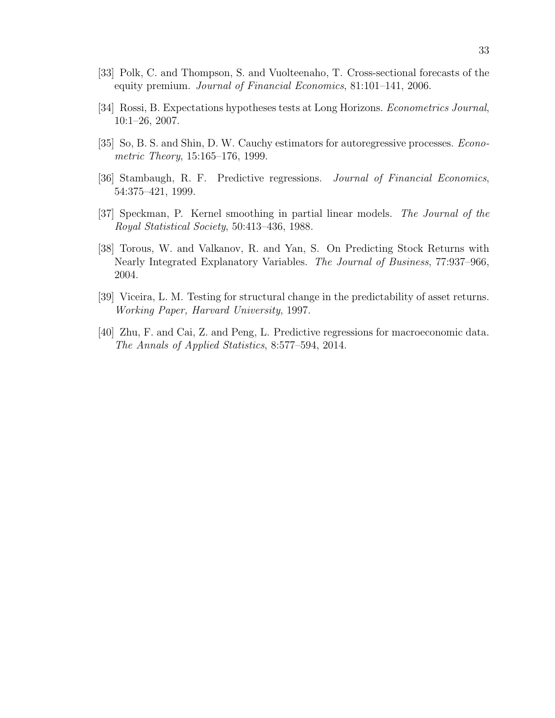- [33] Polk, C. and Thompson, S. and Vuolteenaho, T. Cross-sectional forecasts of the equity premium. Journal of Financial Economics, 81:101–141, 2006.
- [34] Rossi, B. Expectations hypotheses tests at Long Horizons. Econometrics Journal, 10:1–26, 2007.
- [35] So, B. S. and Shin, D. W. Cauchy estimators for autoregressive processes. Econometric Theory, 15:165–176, 1999.
- [36] Stambaugh, R. F. Predictive regressions. Journal of Financial Economics, 54:375–421, 1999.
- [37] Speckman, P. Kernel smoothing in partial linear models. The Journal of the Royal Statistical Society, 50:413–436, 1988.
- [38] Torous, W. and Valkanov, R. and Yan, S. On Predicting Stock Returns with Nearly Integrated Explanatory Variables. The Journal of Business, 77:937–966, 2004.
- [39] Viceira, L. M. Testing for structural change in the predictability of asset returns. Working Paper, Harvard University, 1997.
- [40] Zhu, F. and Cai, Z. and Peng, L. Predictive regressions for macroeconomic data. The Annals of Applied Statistics, 8:577–594, 2014.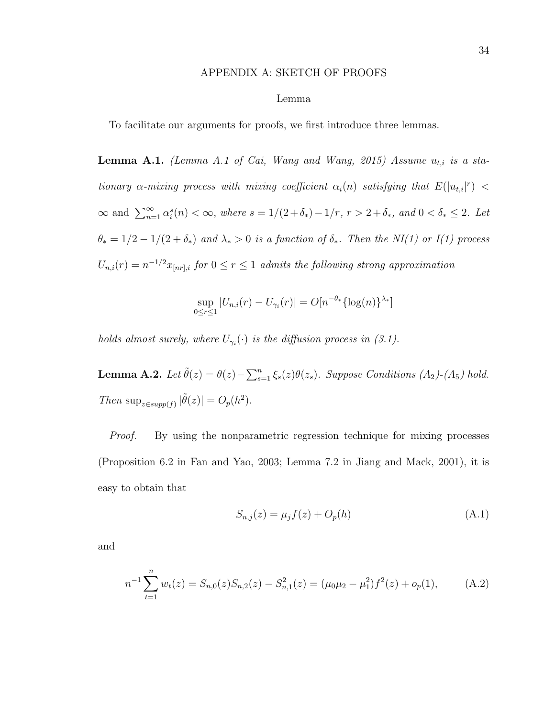#### APPENDIX A: SKETCH OF PROOFS

#### Lemma

To facilitate our arguments for proofs, we first introduce three lemmas.

Lemma A.1. (Lemma A.1 of Cai, Wang and Wang, 2015) Assume  $u_{t,i}$  is a stationary  $\alpha$ -mixing process with mixing coefficient  $\alpha_i(n)$  satisfying that  $E(|u_{t,i}|^r)$  <  $\infty$  and  $\sum_{n=1}^{\infty} \alpha_i^s(n) < \infty$ , where  $s = 1/(2+\delta_*)-1/r$ ,  $r > 2+\delta_*$ , and  $0 < \delta_* \leq 2$ . Let  $\theta_* = 1/2 - 1/(2 + \delta_*)$  and  $\lambda_* > 0$  is a function of  $\delta_*$ . Then the NI(1) or I(1) process  $U_{n,i}(r) = n^{-1/2} x_{[nr],i}$  for  $0 \le r \le 1$  admits the following strong approximation

$$
\sup_{0 \le r \le 1} |U_{n,i}(r) - U_{\gamma_i}(r)| = O[n^{-\theta_*} {\log(n)}^{\lambda_*}]
$$

holds almost surely, where  $U_{\gamma_i}(\cdot)$  is the diffusion process in (3.1).

**Lemma A.2.** Let  $\tilde{\theta}(z) = \theta(z) - \sum_{s=1}^{n} \xi_s(z)\theta(z_s)$ . Suppose Conditions (A<sub>2</sub>)-(A<sub>5</sub>) hold. Then  $\sup_{z \in supp(f)} |\tilde{\theta}(z)| = O_p(h^2)$ .

Proof. By using the nonparametric regression technique for mixing processes (Proposition 6.2 in Fan and Yao, 2003; Lemma 7.2 in Jiang and Mack, 2001), it is easy to obtain that

$$
S_{n,j}(z) = \mu_j f(z) + O_p(h)
$$
\n(A.1)

and

$$
n^{-1} \sum_{t=1}^{n} w_t(z) = S_{n,0}(z) S_{n,2}(z) - S_{n,1}^2(z) = (\mu_0 \mu_2 - \mu_1^2) f^2(z) + o_p(1), \tag{A.2}
$$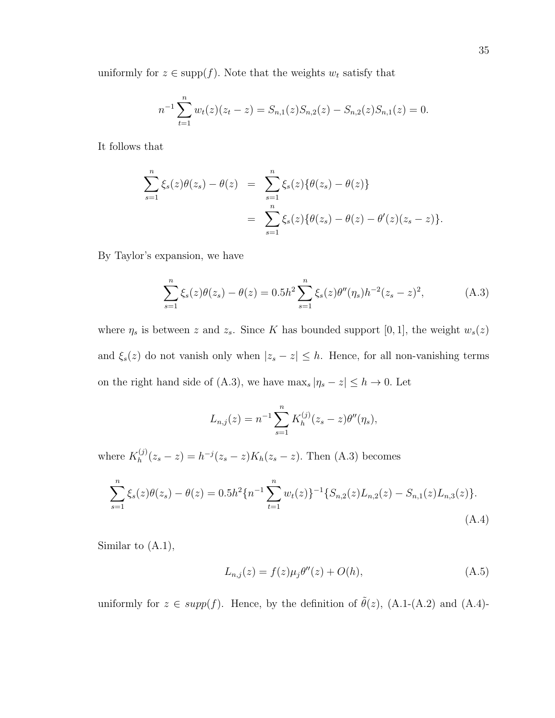uniformly for  $z \in \text{supp}(f)$ . Note that the weights  $w_t$  satisfy that

$$
n^{-1} \sum_{t=1}^{n} w_t(z)(z_t - z) = S_{n,1}(z)S_{n,2}(z) - S_{n,2}(z)S_{n,1}(z) = 0.
$$

It follows that

$$
\sum_{s=1}^{n} \xi_s(z)\theta(z_s) - \theta(z) = \sum_{s=1}^{n} \xi_s(z)\{\theta(z_s) - \theta(z)\}
$$
  
= 
$$
\sum_{s=1}^{n} \xi_s(z)\{\theta(z_s) - \theta(z) - \theta'(z)(z_s - z)\}.
$$

By Taylor's expansion, we have

$$
\sum_{s=1}^{n} \xi_s(z)\theta(z_s) - \theta(z) = 0.5h^2 \sum_{s=1}^{n} \xi_s(z)\theta''(\eta_s)h^{-2}(z_s - z)^2,
$$
 (A.3)

where  $\eta_s$  is between z and  $z_s$ . Since K has bounded support [0, 1], the weight  $w_s(z)$ and  $\xi_s(z)$  do not vanish only when  $|z_s - z| \leq h$ . Hence, for all non-vanishing terms on the right hand side of (A.3), we have  $\max_s |\eta_s - z| \leq h \to 0$ . Let

$$
L_{n,j}(z) = n^{-1} \sum_{s=1}^{n} K_h^{(j)}(z_s - z) \theta''(\eta_s),
$$

where  $K_h^{(j)}$  $h_h^{(j)}(z_s - z) = h^{-j}(z_s - z)K_h(z_s - z)$ . Then (A.3) becomes

$$
\sum_{s=1}^{n} \xi_s(z)\theta(z_s) - \theta(z) = 0.5h^2\{n^{-1}\sum_{t=1}^{n} w_t(z)\}^{-1}\{S_{n,2}(z)L_{n,2}(z) - S_{n,1}(z)L_{n,3}(z)\}.
$$
\n(A.4)

Similar to (A.1),

$$
L_{n,j}(z) = f(z)\mu_j \theta''(z) + O(h), \tag{A.5}
$$

uniformly for  $z \in supp(f)$ . Hence, by the definition of  $\tilde{\theta}(z)$ , (A.1-(A.2) and (A.4)-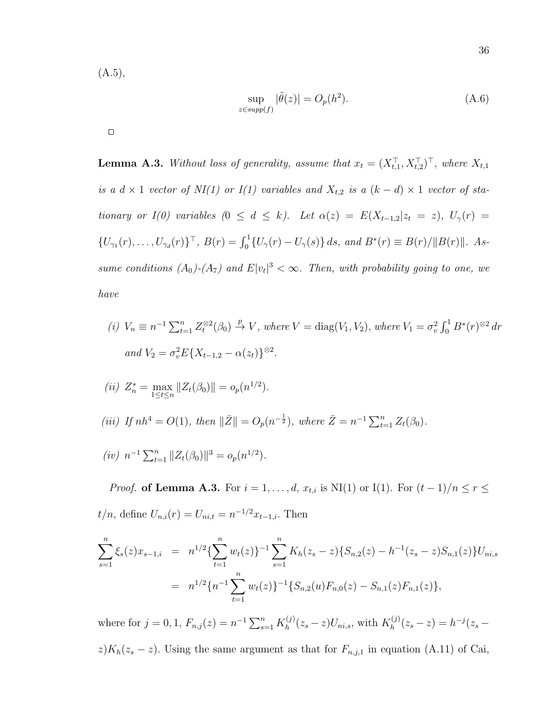$(A.5),$ 

$$
\sup_{z \in \text{supp}(f)} |\tilde{\theta}(z)| = O_p(h^2). \tag{A.6}
$$

 $\Box$ 

**Lemma A.3.** Without loss of generality, assume that  $x_t = (X_{t,1}^\top, X_{t,2}^\top)^\top$ , where  $X_{t,1}$ is a  $d \times 1$  vector of NI(1) or I(1) variables and  $X_{t,2}$  is a  $(k-d) \times 1$  vector of stationary or I(0) variables  $(0 \le d \le k)$ . Let  $\alpha(z) = E(X_{t-1,2}|z_t = z)$ ,  $U_{\gamma}(r) =$  $\{U_{\gamma_1}(r), \ldots, U_{\gamma_d}(r)\}^{\top}, B(r) = \int_0^1 \{U_{\gamma}(r) - U_{\gamma}(s)\} ds, \text{ and } B^*(r) \equiv B(r)/\|B(r)\|.$  Assume conditions  $(A_0)$ - $(A_7)$  and  $E|v_t|^3 < \infty$ . Then, with probability going to one, we have

(i) 
$$
V_n \equiv n^{-1} \sum_{t=1}^n Z_t^{\otimes 2}(\beta_0) \stackrel{p}{\to} V
$$
, where  $V = \text{diag}(V_1, V_2)$ , where  $V_1 = \sigma_v^2 \int_0^1 B^*(r)^{\otimes 2} dr$   
and  $V_2 = \sigma_v^2 E\{X_{t-1,2} - \alpha(z_t)\}^{\otimes 2}$ .

(ii) 
$$
Z_n^* = \max_{1 \le t \le n} ||Z_t(\beta_0)|| = o_p(n^{1/2}).
$$
  
\n(iii) If  $nh^4 = O(1)$ , then  $||\bar{Z}|| = O_p(n^{-\frac{1}{2}})$ , where  $\bar{Z} = n^{-1} \sum_{t=1}^n Z_t(\beta_0)$ .  
\n(iv)  $n^{-1} \sum_{t=1}^n ||Z_t(\beta_0)||^3 = o_p(n^{1/2})$ .

*Proof.* of Lemma A.3. For  $i = 1, ..., d$ ,  $x_{t,i}$  is NI(1) or I(1). For  $(t - 1)/n \le r \le$  $t/n$ , define  $U_{n,i}(r) = U_{ni,t} = n^{-1/2}x_{t-1,i}$ . Then

$$
\sum_{s=1}^{n} \xi_s(z)x_{s-1,i} = n^{1/2}\left\{\sum_{t=1}^{n} w_t(z)\right\}^{-1} \sum_{s=1}^{n} K_h(z_s - z) \{S_{n,2}(z) - h^{-1}(z_s - z)S_{n,1}(z)\} U_{ni,s}
$$
  
= 
$$
n^{1/2}\left\{n^{-1}\sum_{t=1}^{n} w_t(z)\right\}^{-1} \{S_{n,2}(u)F_{n,0}(z) - S_{n,1}(z)F_{n,1}(z)\},
$$

where for  $j = 0, 1, F_{n,j}(z) = n^{-1} \sum_{s=1}^{n} K_h^{(j)}$  $J_h^{(j)}(z_s - z)U_{ni,s}$ , with  $K_h^{(j)}$  $h^{(j)}(z_s - z) = h^{-j}(z_s - z)$  $z)K_h(z_s - z)$ . Using the same argument as that for  $F_{n,j,1}$  in equation (A.11) of Cai,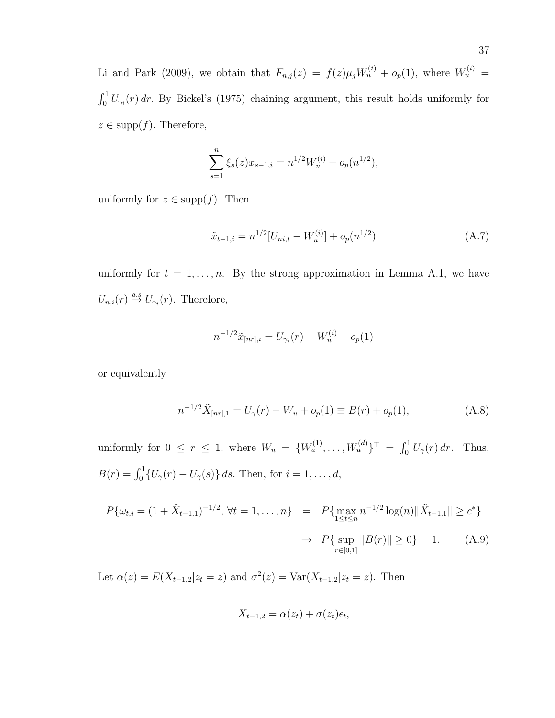Li and Park (2009), we obtain that  $F_{n,j}(z) = f(z) \mu_j W_u^{(i)} + o_p(1)$ , where  $W_u^{(i)} =$  $\int_0^1 U_{\gamma_i}(r) dr$ . By Bickel's (1975) chaining argument, this result holds uniformly for  $z \in \text{supp}(f)$ . Therefore,

$$
\sum_{s=1}^{n} \xi_s(z) x_{s-1,i} = n^{1/2} W_u^{(i)} + o_p(n^{1/2}),
$$

uniformly for  $z \in \text{supp}(f)$ . Then

$$
\tilde{x}_{t-1,i} = n^{1/2} [U_{ni,t} - W_u^{(i)}] + o_p(n^{1/2})
$$
\n(A.7)

uniformly for  $t = 1, \ldots, n$ . By the strong approximation in Lemma A.1, we have  $U_{n,i}(r) \stackrel{a.s}{\rightarrow} U_{\gamma_i}(r)$ . Therefore,

$$
n^{-1/2}\tilde{x}_{[nr],i} = U_{\gamma_i}(r) - W_u^{(i)} + o_p(1)
$$

or equivalently

$$
n^{-1/2}\tilde{X}_{[nr],1} = U_{\gamma}(r) - W_u + o_p(1) \equiv B(r) + o_p(1), \tag{A.8}
$$

uniformly for  $0 \le r \le 1$ , where  $W_u = \{W_u^{(1)}, \ldots, W_u^{(d)}\}^{\top} = \int_0^1 U_\gamma(r) dr$ . Thus,  $B(r) = \int_0^1 \{U_\gamma(r) - U_\gamma(s)\} ds$ . Then, for  $i = 1, ..., d$ ,

$$
P\{\omega_{t,i} = (1 + \tilde{X}_{t-1,1})^{-1/2}, \forall t = 1,\dots,n\} = P\{\max_{1 \le t \le n} n^{-1/2} \log(n) \|\tilde{X}_{t-1,1}\| \ge c^*\}\
$$

$$
\to P\{\sup_{r \in [0,1]} \|B(r)\| \ge 0\} = 1. \tag{A.9}
$$

Let  $\alpha(z) = E(X_{t-1,2}|z_t = z)$  and  $\sigma^2(z) = \text{Var}(X_{t-1,2}|z_t = z)$ . Then

$$
X_{t-1,2} = \alpha(z_t) + \sigma(z_t)\epsilon_t,
$$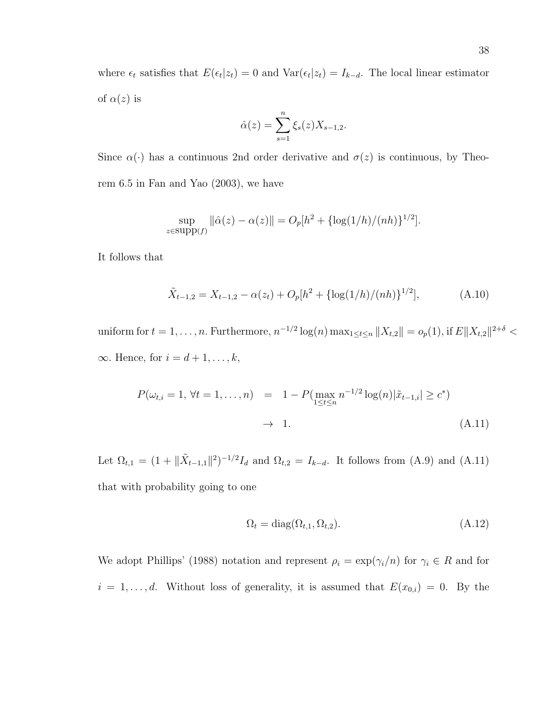where  $\epsilon_t$  satisfies that  $E(\epsilon_t|z_t) = 0$  and  $Var(\epsilon_t|z_t) = I_{k-d}$ . The local linear estimator of  $\alpha(z)$  is

$$
\hat{\alpha}(z) = \sum_{s=1}^{n} \xi_s(z) X_{s-1,2}.
$$

Since  $\alpha(\cdot)$  has a continuous 2nd order derivative and  $\sigma(z)$  is continuous, by Theorem 6.5 in Fan and Yao (2003), we have

$$
\sup_{z \in \text{supp}(f)} ||\hat{\alpha}(z) - \alpha(z)|| = O_p[h^2 + {\log(1/h) / (nh)}^{1/2}].
$$

It follows that

$$
\tilde{X}_{t-1,2} = X_{t-1,2} - \alpha(z_t) + O_p[h^2 + {\log(1/h) / (nh)}^{1/2}], \tag{A.10}
$$

uniform for  $t = 1, \ldots, n$ . Furthermore,  $n^{-1/2} \log(n) \max_{1 \le t \le n} ||X_{t,2}|| = o_p(1)$ , if  $E||X_{t,2}||^{2+\delta} <$  $\infty$ . Hence, for  $i = d + 1, \ldots, k$ ,

$$
P(\omega_{t,i} = 1, \forall t = 1, ..., n) = 1 - P(\max_{1 \le t \le n} n^{-1/2} \log(n) | \tilde{x}_{t-1,i}| \ge c^*)
$$
  

$$
\to 1.
$$
 (A.11)

Let  $\Omega_{t,1} = (1 + ||\tilde{X}_{t-1,1}||^2)^{-1/2} I_d$  and  $\Omega_{t,2} = I_{k-d}$ . It follows from (A.9) and (A.11) that with probability going to one

$$
\Omega_t = \text{diag}(\Omega_{t,1}, \Omega_{t,2}).\tag{A.12}
$$

We adopt Phillips' (1988) notation and represent  $\rho_i = \exp(\gamma_i/n)$  for  $\gamma_i \in R$  and for  $i = 1, \ldots, d$ . Without loss of generality, it is assumed that  $E(x_{0,i}) = 0$ . By the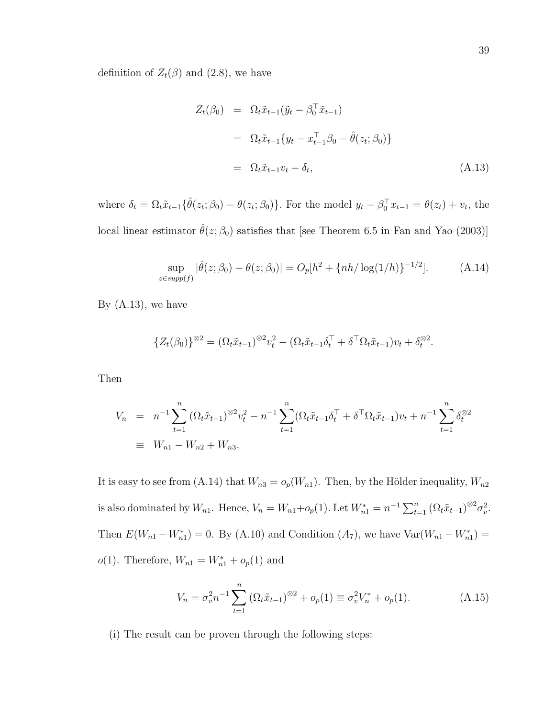definition of  $Z_t(\beta)$  and (2.8), we have

$$
Z_t(\beta_0) = \Omega_t \tilde{x}_{t-1}(\tilde{y}_t - \beta_0^\top \tilde{x}_{t-1})
$$
  
\n
$$
= \Omega_t \tilde{x}_{t-1} \{ y_t - x_{t-1}^\top \beta_0 - \hat{\theta}(z_t; \beta_0) \}
$$
  
\n
$$
= \Omega_t \tilde{x}_{t-1} v_t - \delta_t,
$$
 (A.13)

where  $\delta_t = \Omega_t \tilde{x}_{t-1} \{ \hat{\theta}(z_t; \beta_0) - \theta(z_t; \beta_0) \}.$  For the model  $y_t - \beta_0^\top x_{t-1} = \theta(z_t) + v_t$ , the local linear estimator  $\hat{\theta}(z; \beta_0)$  satisfies that [see Theorem 6.5 in Fan and Yao (2003)]

$$
\sup_{z \in \text{supp}(f)} |\hat{\theta}(z; \beta_0) - \theta(z; \beta_0)| = O_p[h^2 + \{nh/\log(1/h)\}^{-1/2}]. \tag{A.14}
$$

By  $(A.13)$ , we have

$$
\{Z_t(\beta_0)\}^{\otimes 2} = (\Omega_t \tilde{x}_{t-1})^{\otimes 2} v_t^2 - (\Omega_t \tilde{x}_{t-1} \delta_t^\top + \delta^\top \Omega_t \tilde{x}_{t-1}) v_t + \delta_t^{\otimes 2}.
$$

Then

$$
V_n = n^{-1} \sum_{t=1}^n (\Omega_t \tilde{x}_{t-1})^{\otimes 2} v_t^2 - n^{-1} \sum_{t=1}^n (\Omega_t \tilde{x}_{t-1} \delta_t^\top + \delta^\top \Omega_t \tilde{x}_{t-1}) v_t + n^{-1} \sum_{t=1}^n \delta_t^{\otimes 2}
$$
  
\n
$$
\equiv W_{n1} - W_{n2} + W_{n3}.
$$

It is easy to see from (A.14) that  $W_{n3} = o_p(W_{n1})$ . Then, by the Hölder inequality,  $W_{n2}$ is also dominated by  $W_{n1}$ . Hence,  $V_n = W_{n1} + o_p(1)$ . Let  $W_{n1}^* = n^{-1} \sum_{t=1}^n (\Omega_t \tilde{x}_{t-1})^{\otimes 2} \sigma_v^2$ . Then  $E(W_{n1} - W_{n1}^*) = 0$ . By (A.10) and Condition  $(A_7)$ , we have  $Var(W_{n1} - W_{n1}^*) =$ *o*(1). Therefore,  $W_{n1} = W_{n1}^* + o_p(1)$  and

$$
V_n = \sigma_v^2 n^{-1} \sum_{t=1}^n \left( \Omega_t \tilde{x}_{t-1} \right)^{\otimes 2} + o_p(1) \equiv \sigma_v^2 V_n^* + o_p(1). \tag{A.15}
$$

(i) The result can be proven through the following steps: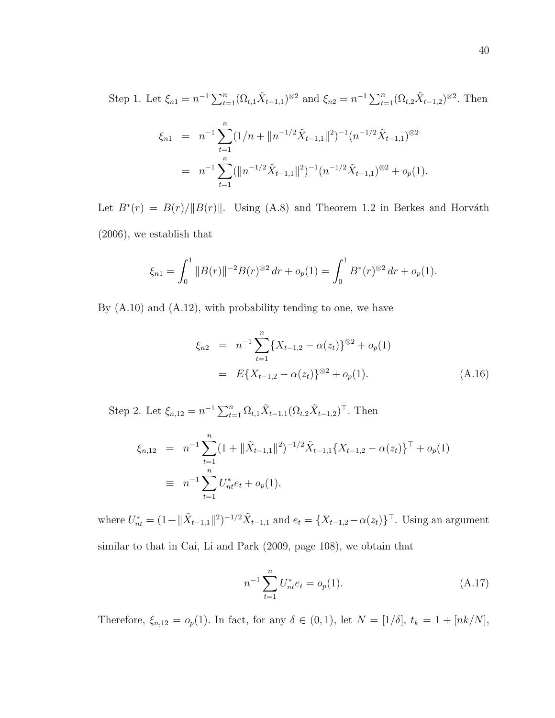Step 1. Let  $\xi_{n1} = n^{-1} \sum_{t=1}^{n} (\Omega_{t,1} \tilde{X}_{t-1,1})^{\otimes 2}$  and  $\xi_{n2} = n^{-1} \sum_{t=1}^{n} (\Omega_{t,2} \tilde{X}_{t-1,2})^{\otimes 2}$ . Then

$$
\xi_{n1} = n^{-1} \sum_{t=1}^{n} (1/n + ||n^{-1/2} \tilde{X}_{t-1,1}||^2)^{-1} (n^{-1/2} \tilde{X}_{t-1,1})^{\otimes 2}
$$
  
= 
$$
n^{-1} \sum_{t=1}^{n} (||n^{-1/2} \tilde{X}_{t-1,1}||^2)^{-1} (n^{-1/2} \tilde{X}_{t-1,1})^{\otimes 2} + o_p(1).
$$

Let  $B^*(r) = B(r)/||B(r)||$ . Using (A.8) and Theorem 1.2 in Berkes and Horváth (2006), we establish that

$$
\xi_{n1} = \int_0^1 \|B(r)\|^{-2} B(r)^{\otimes 2} dr + o_p(1) = \int_0^1 B^*(r)^{\otimes 2} dr + o_p(1).
$$

By  $(A.10)$  and  $(A.12)$ , with probability tending to one, we have

$$
\xi_{n2} = n^{-1} \sum_{t=1}^{n} \{X_{t-1,2} - \alpha(z_t)\}^{\otimes 2} + o_p(1)
$$
  
=  $E\{X_{t-1,2} - \alpha(z_t)\}^{\otimes 2} + o_p(1).$  (A.16)

Step 2. Let  $\xi_{n,12} = n^{-1} \sum_{t=1}^{n} \Omega_{t,1} \tilde{X}_{t-1,1} (\Omega_{t,2} \tilde{X}_{t-1,2})^{\top}$ . Then

$$
\xi_{n,12} = n^{-1} \sum_{t=1}^{n} (1 + ||\tilde{X}_{t-1,1}||^2)^{-1/2} \tilde{X}_{t-1,1} \{X_{t-1,2} - \alpha(z_t)\}^{\top} + o_p(1)
$$
  
\n
$$
\equiv n^{-1} \sum_{t=1}^{n} U_{nt}^* e_t + o_p(1),
$$

where  $U_{nt}^* = (1 + ||\tilde{X}_{t-1,1}||^2)^{-1/2} \tilde{X}_{t-1,1}$  and  $e_t = \{X_{t-1,2} - \alpha(z_t)\}^{\top}$ . Using an argument similar to that in Cai, Li and Park (2009, page 108), we obtain that

$$
n^{-1} \sum_{t=1}^{n} U_{nt}^* e_t = o_p(1).
$$
 (A.17)

Therefore,  $\xi_{n,12} = o_p(1)$ . In fact, for any  $\delta \in (0,1)$ , let  $N = [1/\delta]$ ,  $t_k = 1 + [nk/N]$ ,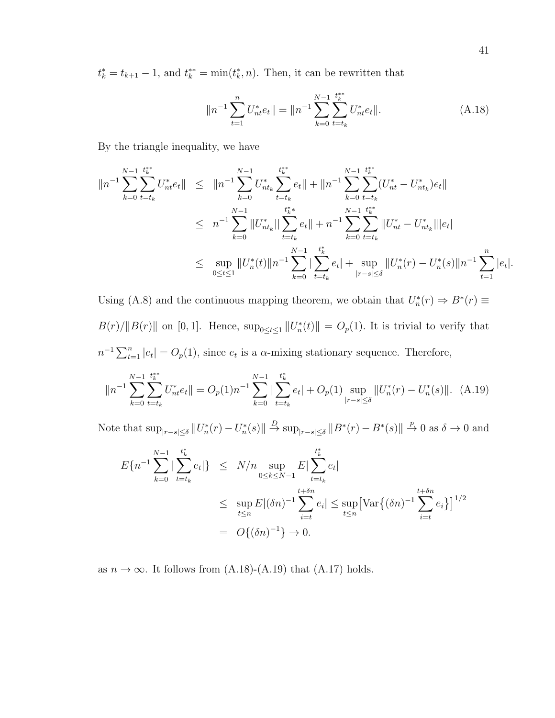$t_k^* = t_{k+1} - 1$ , and  $t_k^{**} = \min(t_k^*, n)$ . Then, it can be rewritten that

$$
||n^{-1} \sum_{t=1}^{n} U_{nt}^* e_t|| = ||n^{-1} \sum_{k=0}^{N-1} \sum_{t=t_k}^{t_k^*} U_{nt}^* e_t||.
$$
 (A.18)

By the triangle inequality, we have

$$
||n^{-1} \sum_{k=0}^{N-1} \sum_{t=t_k}^{t_k^{**}} U_{nt}^* e_t || \le ||n^{-1} \sum_{k=0}^{N-1} U_{nt_k}^* \sum_{t=t_k}^{t_k^{**}} e_t || + ||n^{-1} \sum_{k=0}^{N-1} \sum_{t=t_k}^{t_k^{**}} (U_{nt}^* - U_{nt_k}^*) e_t ||
$$
  
\n
$$
\le n^{-1} \sum_{k=0}^{N-1} ||U_{nt_k}^*|| \sum_{t=t_k}^{t_k^{**}} e_t || + n^{-1} \sum_{k=0}^{N-1} \sum_{t=t_k}^{t_k^{**}} ||U_{nt}^* - U_{nt_k}^*||e_t ||
$$
  
\n
$$
\le \sup_{0 \le t \le 1} ||U_n^*(t)||n^{-1} \sum_{k=0}^{N-1} |\sum_{t=t_k}^{t_k^{*}} e_t | + \sup_{|r-s| \le \delta} ||U_n^*(r) - U_n^*(s)||n^{-1} \sum_{t=1}^{n} |e_t|.
$$

Using (A.8) and the continuous mapping theorem, we obtain that  $U_n^*(r) \Rightarrow B^*(r) \equiv$  $B(r)/||B(r)||$  on [0, 1]. Hence,  $\sup_{0 \leq t \leq 1} ||U_n^*(t)|| = O_p(1)$ . It is trivial to verify that  $n^{-1} \sum_{t=1}^{n} |e_t| = O_p(1)$ , since  $e_t$  is a  $\alpha$ -mixing stationary sequence. Therefore,

$$
||n^{-1} \sum_{k=0}^{N-1} \sum_{t=t_k}^{t_k^{**}} U_{nt}^* e_t || = O_p(1) n^{-1} \sum_{k=0}^{N-1} \left| \sum_{t=t_k}^{t_k^{*}} e_t \right| + O_p(1) \sup_{|r-s| \le \delta} ||U_n^*(r) - U_n^*(s)||. \tag{A.19}
$$

Note that  $\sup_{|r-s|\leq \delta} ||U_n^*(r) - U_n^*(s)|| \stackrel{D}{\to} \sup_{|r-s|\leq \delta} ||B^*(r) - B^*(s)|| \stackrel{p}{\to} 0$  as  $\delta \to 0$  and

$$
E\{n^{-1}\sum_{k=0}^{N-1}|\sum_{t=t_k}^{t_k^*}e_t|\} \le N/n \sup_{0\le k\le N-1}E|\sum_{t=t_k}^{t_k^*}e_t|
$$
  
\n
$$
\le \sup_{t\le n}E|(\delta n)^{-1}\sum_{i=t}^{t+\delta n}e_i| \le \sup_{t\le n}[\text{Var}\{(\delta n)^{-1}\sum_{i=t}^{t+\delta n}e_i\}]^{1/2}
$$
  
\n
$$
= O\{(\delta n)^{-1}\} \to 0.
$$

as  $n \to \infty$ . It follows from (A.18)-(A.19) that (A.17) holds.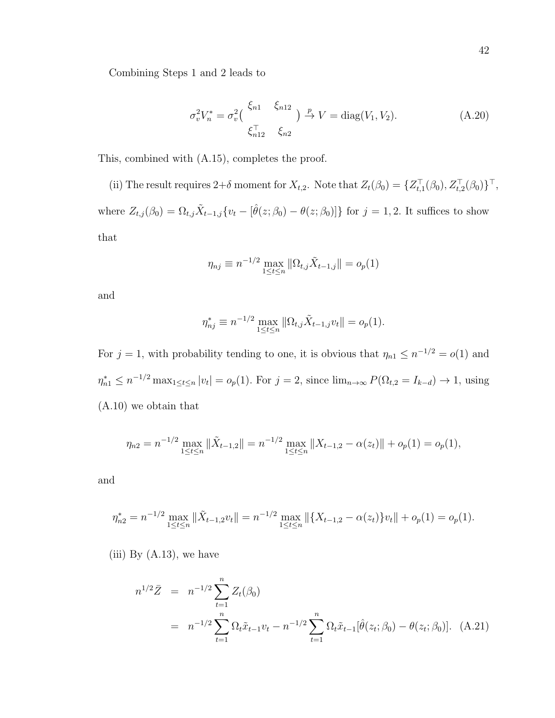Combining Steps 1 and 2 leads to

$$
\sigma_v^2 V_n^* = \sigma_v^2 \Big( \frac{\xi_{n1}}{\xi_{n12}^{\top}} \frac{\xi_{n12}}{\xi_{n2}} \Big) \stackrel{p}{\to} V = \text{diag}(V_1, V_2). \tag{A.20}
$$

This, combined with (A.15), completes the proof.

(ii) The result requires  $2+\delta$  moment for  $X_{t,2}$ . Note that  $Z_t(\beta_0) = \{Z_{t,1}^{\top}(\beta_0), Z_{t,2}^{\top}(\beta_0)\}^{\top}$ , where  $Z_{t,j}(\beta_0) = \Omega_{t,j} \tilde{X}_{t-1,j} \{ v_t - [\hat{\theta}(z; \beta_0) - \theta(z; \beta_0)] \}$  for  $j = 1, 2$ . It suffices to show that

$$
\eta_{nj} \equiv n^{-1/2} \max_{1 \le t \le n} \|\Omega_{t,j}\tilde{X}_{t-1,j}\| = o_p(1)
$$

and

$$
\eta_{nj}^* \equiv n^{-1/2} \max_{1 \le t \le n} \|\Omega_{t,j}\tilde{X}_{t-1,j}v_t\| = o_p(1).
$$

For  $j = 1$ , with probability tending to one, it is obvious that  $\eta_{n1} \leq n^{-1/2} = o(1)$  and  $\eta_{n1}^* \leq n^{-1/2} \max_{1 \leq t \leq n} |v_t| = o_p(1)$ . For  $j = 2$ , since  $\lim_{n \to \infty} P(\Omega_{t,2} = I_{k-d}) \to 1$ , using (A.10) we obtain that

$$
\eta_{n2} = n^{-1/2} \max_{1 \le t \le n} \|\tilde{X}_{t-1,2}\| = n^{-1/2} \max_{1 \le t \le n} \|X_{t-1,2} - \alpha(z_t)\| + o_p(1) = o_p(1),
$$

and

$$
\eta_{n2}^* = n^{-1/2} \max_{1 \le t \le n} \|\tilde{X}_{t-1,2}v_t\| = n^{-1/2} \max_{1 \le t \le n} \|\{X_{t-1,2} - \alpha(z_t)\}v_t\| + o_p(1) = o_p(1).
$$

(iii) By  $(A.13)$ , we have

$$
n^{1/2}\bar{Z} = n^{-1/2} \sum_{t=1}^{n} Z_t(\beta_0)
$$
  
=  $n^{-1/2} \sum_{t=1}^{n} \Omega_t \tilde{x}_{t-1} v_t - n^{-1/2} \sum_{t=1}^{n} \Omega_t \tilde{x}_{t-1} [\hat{\theta}(z_t; \beta_0) - \theta(z_t; \beta_0)].$  (A.21)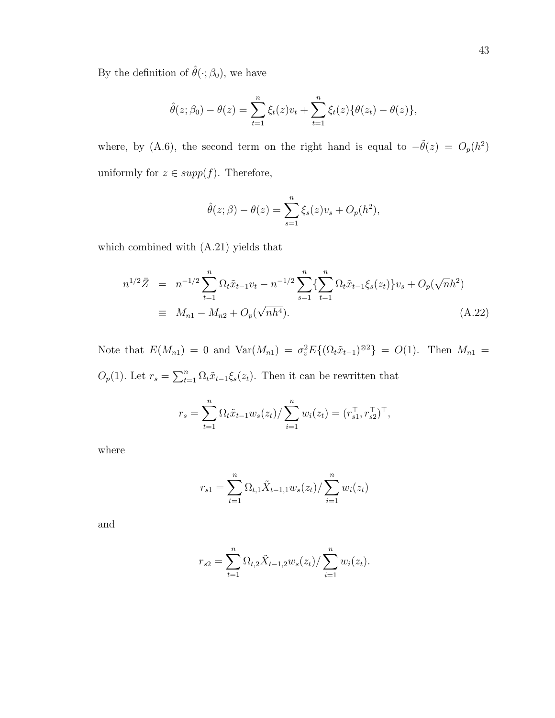By the definition of  $\hat{\theta}(\cdot; \beta_0)$ , we have

$$
\hat{\theta}(z; \beta_0) - \theta(z) = \sum_{t=1}^n \xi_t(z)v_t + \sum_{t=1}^n \xi_t(z)\{\theta(z_t) - \theta(z)\},
$$

where, by (A.6), the second term on the right hand is equal to  $-\tilde{\theta}(z) = O_p(h^2)$ uniformly for  $z \in supp(f)$ . Therefore,

$$
\hat{\theta}(z;\beta) - \theta(z) = \sum_{s=1}^n \xi_s(z)v_s + O_p(h^2),
$$

which combined with (A.21) yields that

$$
n^{1/2}\bar{Z} = n^{-1/2} \sum_{t=1}^{n} \Omega_t \tilde{x}_{t-1} v_t - n^{-1/2} \sum_{s=1}^{n} \left\{ \sum_{t=1}^{n} \Omega_t \tilde{x}_{t-1} \xi_s(z_t) \right\} v_s + O_p(\sqrt{n}h^2)
$$
  
\n
$$
\equiv M_{n1} - M_{n2} + O_p(\sqrt{n}h^4).
$$
\n(A.22)

Note that  $E(M_{n1}) = 0$  and  $Var(M_{n1}) = \sigma_v^2 E\{(\Omega_t \tilde{x}_{t-1})^{\otimes 2}\} = O(1)$ . Then  $M_{n1} =$  $O_p(1)$ . Let  $r_s = \sum_{t=1}^n \Omega_t \tilde{x}_{t-1} \xi_s(z_t)$ . Then it can be rewritten that

$$
r_s = \sum_{t=1}^n \Omega_t \tilde{x}_{t-1} w_s(z_t) / \sum_{i=1}^n w_i(z_t) = (r_{s1}^\top, r_{s2}^\top)^\top,
$$

where

$$
r_{s1} = \sum_{t=1}^{n} \Omega_{t,1} \tilde{X}_{t-1,1} w_s(z_t) / \sum_{i=1}^{n} w_i(z_t)
$$

and

$$
r_{s2} = \sum_{t=1}^{n} \Omega_{t,2} \tilde{X}_{t-1,2} w_s(z_t) / \sum_{i=1}^{n} w_i(z_t).
$$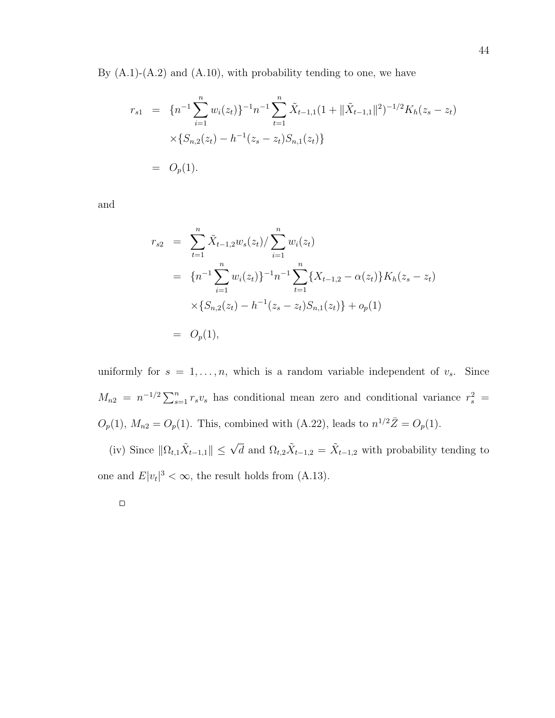By  $(A.1)-(A.2)$  and  $(A.10)$ , with probability tending to one, we have

$$
r_{s1} = \{n^{-1} \sum_{i=1}^{n} w_i(z_t)\}^{-1} n^{-1} \sum_{t=1}^{n} \tilde{X}_{t-1,1} (1 + ||\tilde{X}_{t-1,1}||^2)^{-1/2} K_h(z_s - z_t)
$$
  
 
$$
\times \{S_{n,2}(z_t) - h^{-1}(z_s - z_t) S_{n,1}(z_t)\}
$$
  
=  $O_p(1).$ 

and

$$
r_{s2} = \sum_{t=1}^{n} \tilde{X}_{t-1,2} w_s(z_t) / \sum_{i=1}^{n} w_i(z_t)
$$
  
=  $\{n^{-1} \sum_{i=1}^{n} w_i(z_t)\}^{-1} n^{-1} \sum_{t=1}^{n} \{X_{t-1,2} - \alpha(z_t)\} K_h(z_s - z_t)$   
 $\times \{S_{n,2}(z_t) - h^{-1}(z_s - z_t) S_{n,1}(z_t)\} + o_p(1)$   
=  $O_p(1),$ 

uniformly for  $s = 1, \ldots, n$ , which is a random variable independent of  $v_s$ . Since  $M_{n2} = n^{-1/2} \sum_{s=1}^{n} r_s v_s$  has conditional mean zero and conditional variance  $r_s^2$  $O_p(1)$ ,  $M_{n2} = O_p(1)$ . This, combined with (A.22), leads to  $n^{1/2}\bar{Z} = O_p(1)$ .

(iv) Since  $\|\Omega_{t,1}\tilde{X}_{t-1,1}\| \leq \sqrt{d}$  and  $\Omega_{t,2}\tilde{X}_{t-1,2} = \tilde{X}_{t-1,2}$  with probability tending to one and  $E|v_t|^3 < \infty$ , the result holds from (A.13).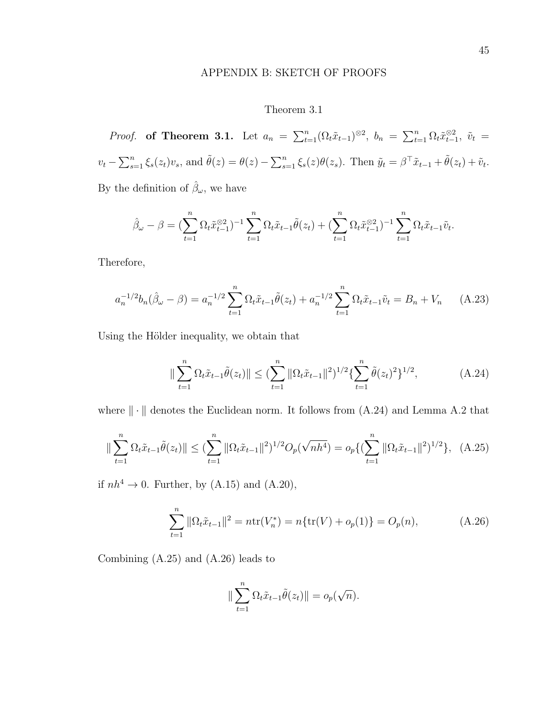### APPENDIX B: SKETCH OF PROOFS

## Theorem 3.1

*Proof.* of Theorem 3.1. Let  $a_n = \sum_{t=1}^n (\Omega_t \tilde{x}_{t-1})^{\otimes 2}$ ,  $b_n = \sum_{t=1}^n \Omega_t \tilde{x}_{t-1}^{\otimes 2}$ ,  $\tilde{v}_t =$  $v_t - \sum_{s=1}^n \xi_s(z_t)v_s$ , and  $\tilde{\theta}(z) = \theta(z) - \sum_{s=1}^n \xi_s(z)\theta(z_s)$ . Then  $\tilde{y}_t = \beta^\top \tilde{x}_{t-1} + \tilde{\theta}(z_t) + \tilde{v}_t$ . By the definition of  $\hat{\beta}_{\omega}$ , we have

$$
\hat{\beta}_{\omega} - \beta = \left(\sum_{t=1}^n \Omega_t \tilde{x}_{t-1}^{\otimes 2}\right)^{-1} \sum_{t=1}^n \Omega_t \tilde{x}_{t-1} \tilde{\theta}(z_t) + \left(\sum_{t=1}^n \Omega_t \tilde{x}_{t-1}^{\otimes 2}\right)^{-1} \sum_{t=1}^n \Omega_t \tilde{x}_{t-1} \tilde{v}_t.
$$

Therefore,

$$
a_n^{-1/2}b_n(\hat{\beta}_{\omega} - \beta) = a_n^{-1/2} \sum_{t=1}^n \Omega_t \tilde{x}_{t-1} \tilde{\theta}(z_t) + a_n^{-1/2} \sum_{t=1}^n \Omega_t \tilde{x}_{t-1} \tilde{v}_t = B_n + V_n \qquad (A.23)
$$

Using the Hölder inequality, we obtain that

$$
\|\sum_{t=1}^{n} \Omega_t \tilde{x}_{t-1} \tilde{\theta}(z_t) \| \leq (\sum_{t=1}^{n} \|\Omega_t \tilde{x}_{t-1}\|^2)^{1/2} \{\sum_{t=1}^{n} \tilde{\theta}(z_t)^2\}^{1/2},
$$
 (A.24)

where  $\|\cdot\|$  denotes the Euclidean norm. It follows from (A.24) and Lemma A.2 that

$$
\|\sum_{t=1}^{n} \Omega_t \tilde{x}_{t-1} \tilde{\theta}(z_t) \| \leq (\sum_{t=1}^{n} \|\Omega_t \tilde{x}_{t-1}\|^2)^{1/2} O_p(\sqrt{nh^4}) = o_p\{(\sum_{t=1}^{n} \|\Omega_t \tilde{x}_{t-1}\|^2)^{1/2}\}, \quad (A.25)
$$

if  $nh^4 \rightarrow 0$ . Further, by (A.15) and (A.20),

$$
\sum_{t=1}^{n} \|\Omega_t \tilde{x}_{t-1}\|^2 = n \text{tr}(V_n^*) = n \{\text{tr}(V) + o_p(1)\} = O_p(n), \tag{A.26}
$$

Combining (A.25) and (A.26) leads to

$$
\|\sum_{t=1}^n \Omega_t \tilde{x}_{t-1} \tilde{\theta}(z_t)\| = o_p(\sqrt{n}).
$$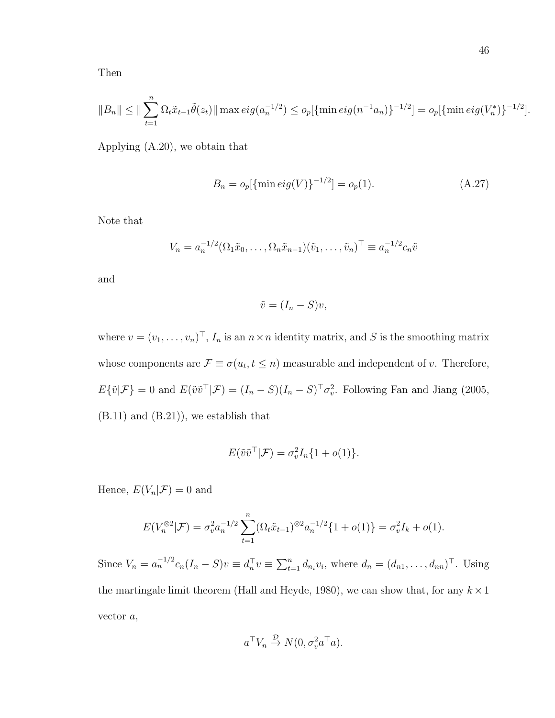Then

$$
||B_n|| \le ||\sum_{t=1}^n \Omega_t \tilde{x}_{t-1} \tilde{\theta}(z_t)|| \max \deg(a_n^{-1/2}) \le o_p[\{\min \deg(n^{-1}a_n)\}^{-1/2}] = o_p[\{\min \deg(V_n^*)\}^{-1/2}].
$$

Applying (A.20), we obtain that

$$
B_n = o_p[\{\min \text{eig}(V)\}^{-1/2}] = o_p(1). \tag{A.27}
$$

Note that

$$
V_n = a_n^{-1/2} (\Omega_1 \tilde{x}_0, \dots, \Omega_n \tilde{x}_{n-1}) (\tilde{v}_1, \dots, \tilde{v}_n)^{\top} \equiv a_n^{-1/2} c_n \tilde{v}
$$

and

$$
\tilde{v} = (I_n - S)v,
$$

where  $v = (v_1, \ldots, v_n)^\top$ ,  $I_n$  is an  $n \times n$  identity matrix, and S is the smoothing matrix whose components are  $\mathcal{F} \equiv \sigma(u_t, t \leq n)$  measurable and independent of v. Therefore,  $E\{\tilde{v}|\mathcal{F}\}=0$  and  $E(\tilde{v}\tilde{v}^\top|\mathcal{F})=(I_n-S)(I_n-S)^\top\sigma_v^2$ . Following Fan and Jiang (2005,  $(B.11)$  and  $(B.21)$ , we establish that

$$
E(\tilde{v}\tilde{v}^\top | \mathcal{F}) = \sigma_v^2 I_n \{1 + o(1)\}.
$$

Hence,  $E(V_n|\mathcal{F})=0$  and

$$
E(V_n^{\otimes 2}|\mathcal{F}) = \sigma_v^2 a_n^{-1/2} \sum_{t=1}^n (\Omega_t \tilde{x}_{t-1})^{\otimes 2} a_n^{-1/2} \{1 + o(1)\} = \sigma_v^2 I_k + o(1).
$$

Since  $V_n = a_n^{-1/2} c_n (I_n - S) v \equiv d_n^{\top} v \equiv \sum_{t=1}^n d_{n_i} v_i$ , where  $d_n = (d_{n1}, \dots, d_{nn})^{\top}$ . Using the martingale limit theorem (Hall and Heyde, 1980), we can show that, for any  $k \times 1$ vector a,

$$
a^{\top}V_n \stackrel{\mathcal{D}}{\rightarrow} N(0, \sigma_v^2 a^{\top} a).
$$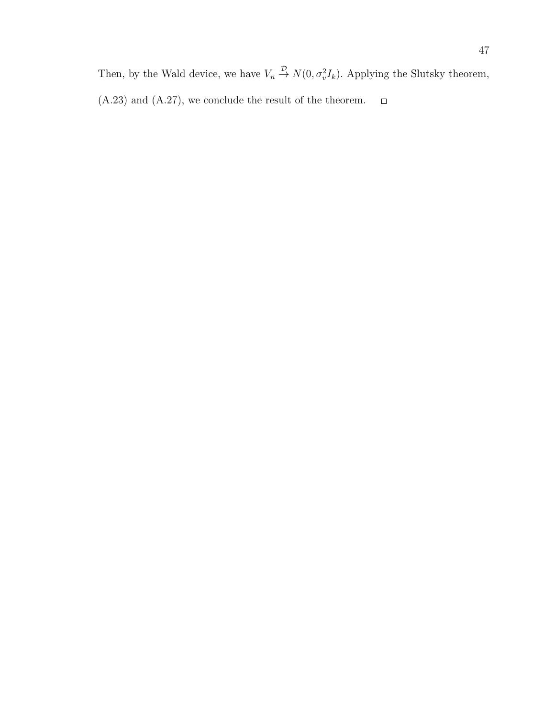Then, by the Wald device, we have  $V_n \stackrel{\mathcal{D}}{\rightarrow} N(0, \sigma_v^2 I_k)$ . Applying the Slutsky theorem, (A.23) and (A.27), we conclude the result of the theorem. $\Box$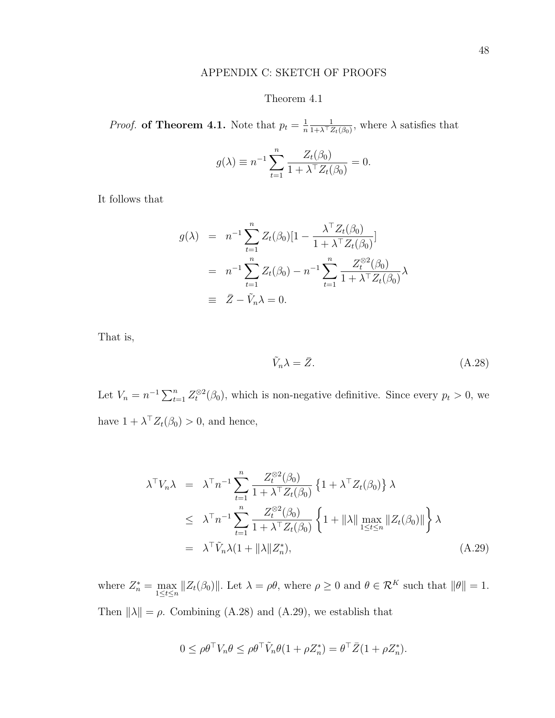### APPENDIX C: SKETCH OF PROOFS

#### Theorem 4.1

*Proof.* of Theorem 4.1. Note that  $p_t = \frac{1}{n}$ n 1  $\frac{1}{1+\lambda^{\top}Z_t(\beta_0)},$  where  $\lambda$  satisfies that

$$
g(\lambda) \equiv n^{-1} \sum_{t=1}^{n} \frac{Z_t(\beta_0)}{1 + \lambda^\top Z_t(\beta_0)} = 0.
$$

It follows that

$$
g(\lambda) = n^{-1} \sum_{t=1}^{n} Z_t(\beta_0) [1 - \frac{\lambda^{\top} Z_t(\beta_0)}{1 + \lambda^{\top} Z_t(\beta_0)}]
$$
  
=  $n^{-1} \sum_{t=1}^{n} Z_t(\beta_0) - n^{-1} \sum_{t=1}^{n} \frac{Z_t^{\otimes 2}(\beta_0)}{1 + \lambda^{\top} Z_t(\beta_0)} \lambda$   
\equiv  $\bar{Z} - \tilde{V}_n \lambda = 0.$ 

That is,

$$
\tilde{V}_n \lambda = \bar{Z}.\tag{A.28}
$$

Let  $V_n = n^{-1} \sum_{t=1}^n Z_t^{\otimes 2}(\beta_0)$ , which is non-negative definitive. Since every  $p_t > 0$ , we have  $1 + \lambda^\top Z_t(\beta_0) > 0$ , and hence,

$$
\lambda^{\top} V_n \lambda = \lambda^{\top} n^{-1} \sum_{t=1}^n \frac{Z_t^{\otimes 2}(\beta_0)}{1 + \lambda^{\top} Z_t(\beta_0)} \left\{ 1 + \lambda^{\top} Z_t(\beta_0) \right\} \lambda
$$
  
\n
$$
\leq \lambda^{\top} n^{-1} \sum_{t=1}^n \frac{Z_t^{\otimes 2}(\beta_0)}{1 + \lambda^{\top} Z_t(\beta_0)} \left\{ 1 + ||\lambda|| \max_{1 \leq t \leq n} ||Z_t(\beta_0)|| \right\} \lambda
$$
  
\n
$$
= \lambda^{\top} \tilde{V}_n \lambda (1 + ||\lambda|| Z_n^*), \qquad (A.29)
$$

where  $Z_n^* = \max_{1 \leq t \leq n} ||Z_t(\beta_0)||$ . Let  $\lambda = \rho \theta$ , where  $\rho \geq 0$  and  $\theta \in \mathcal{R}^K$  such that  $||\theta|| = 1$ . Then  $\|\lambda\| = \rho$ . Combining (A.28) and (A.29), we establish that

$$
0 \leq \rho \theta^{\top} V_n \theta \leq \rho \theta^{\top} \tilde{V}_n \theta (1 + \rho Z_n^*) = \theta^{\top} \bar{Z} (1 + \rho Z_n^*).
$$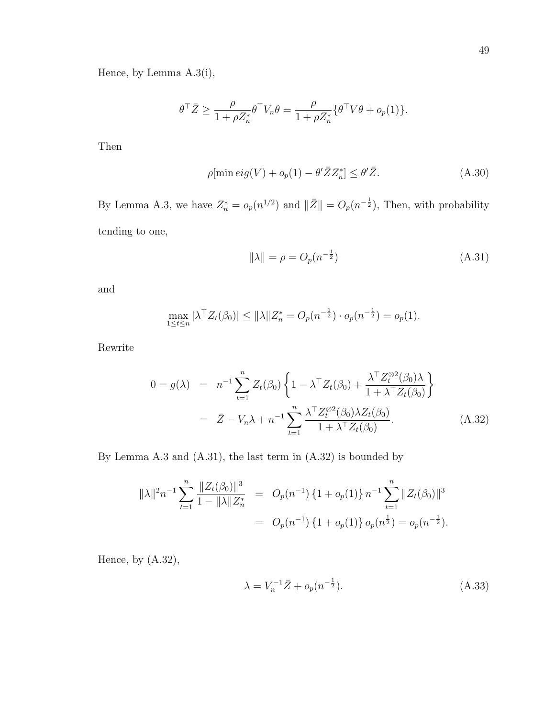Hence, by Lemma A.3(i),

$$
\theta^{\top} \bar{Z} \geq \frac{\rho}{1 + \rho Z_n^*} \theta^{\top} V_n \theta = \frac{\rho}{1 + \rho Z_n^*} \{ \theta^{\top} V \theta + o_p(1) \}.
$$

Then

$$
\rho[\min \text{eig}(V) + o_p(1) - \theta' \bar{Z} Z_n^*] \le \theta' \bar{Z}.
$$
\n(A.30)

By Lemma A.3, we have  $Z_n^* = o_p(n^{1/2})$  and  $\|\bar{Z}\| = O_p(n^{-\frac{1}{2}})$ , Then, with probability tending to one,

$$
\|\lambda\| = \rho = O_p(n^{-\frac{1}{2}})
$$
\n(A.31)

and

$$
\max_{1 \le t \le n} |\lambda^{\top} Z_t(\beta_0)| \le ||\lambda|| Z_n^* = O_p(n^{-\frac{1}{2}}) \cdot o_p(n^{-\frac{1}{2}}) = o_p(1).
$$

Rewrite

$$
0 = g(\lambda) = n^{-1} \sum_{t=1}^{n} Z_t(\beta_0) \left\{ 1 - \lambda^{\top} Z_t(\beta_0) + \frac{\lambda^{\top} Z_t^{\otimes 2}(\beta_0) \lambda}{1 + \lambda^{\top} Z_t(\beta_0)} \right\}
$$
  

$$
= \bar{Z} - V_n \lambda + n^{-1} \sum_{t=1}^{n} \frac{\lambda^{\top} Z_t^{\otimes 2}(\beta_0) \lambda Z_t(\beta_0)}{1 + \lambda^{\top} Z_t(\beta_0)}.
$$
 (A.32)

By Lemma A.3 and (A.31), the last term in (A.32) is bounded by

$$
\|\lambda\|^2 n^{-1} \sum_{t=1}^n \frac{\|Z_t(\beta_0)\|^3}{1 - \|\lambda\| Z_n^*} = O_p(n^{-1}) \{1 + o_p(1)\} n^{-1} \sum_{t=1}^n \|Z_t(\beta_0)\|^3
$$
  
=  $O_p(n^{-1}) \{1 + o_p(1)\} o_p(n^{\frac{1}{2}}) = o_p(n^{-\frac{1}{2}}).$ 

Hence, by (A.32),

$$
\lambda = V_n^{-1} \bar{Z} + o_p(n^{-\frac{1}{2}}). \tag{A.33}
$$